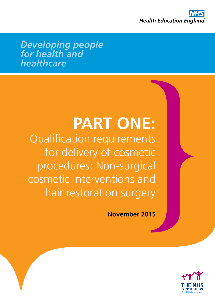

*Developing people for health and healthcare*

# **PART ONE:**

Qualification requirements for delivery of cosmetic procedures: Non-surgical cosmetic interventions and hair restoration surgery

**November 2015**

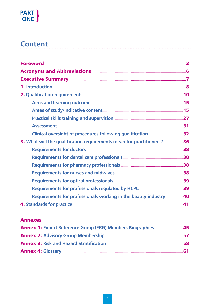# PART }<br>ONE

# **Content**

| 36. What will the qualification requirements mean for practitioners?36  |    |
|-------------------------------------------------------------------------|----|
| Requirements for doctors <b>Manual Accredit Contract 28</b>             |    |
|                                                                         |    |
|                                                                         |    |
|                                                                         |    |
|                                                                         |    |
|                                                                         |    |
| <b>Requirements for professionals working in the beauty industry 40</b> |    |
|                                                                         | 41 |

#### **Annexes**

| <b>Annex 1: Expert Reference Group (ERG) Members Biographies 45</b> |  |
|---------------------------------------------------------------------|--|
|                                                                     |  |
|                                                                     |  |
|                                                                     |  |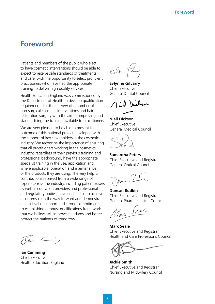# **Foreword**

Patients and members of the public who elect to have cosmetic interventions should be able to expect to receive safe standards of treatments and care, with the opportunity to select proficient practitioners who have had the appropriate training to deliver high quality services.

Health Education England was commissioned by the Department of Health to develop qualification requirements for the delivery of a number of non-surgical cosmetic interventions and hair restoration surgery with the aim of improving and standardising the training available to practitioners.

We are very pleased to be able to present the outcome of this national project developed with the support of key stakeholders in the cosmetics industry. We recognise the importance of ensuring that all practitioners working in the cosmetics industry, regardless of their previous training and professional background, have the appropriate specialist training in the use, application and, where applicable, operation and maintenance of the products they are using. The very helpful contributions received from a wide range of experts across the industry, including patients/users as well as education providers and professional and regulatory bodies, have enabled us to achieve a consensus on the way forward and demonstrate a high level of support and strong commitment to establishing a robust qualifications framework that we believe will improve standards and better protect the patients of tomorrow.

 $\alpha$   $\leftarrow$ 

**Ian Cumming** Chief Executive Health Education England

Elgine Film

**Evlynne Gilvarry** Chief Executive General Dental Council

Aill Dichen

**Niall Dickson** Chief Executive General Medical Council



**Samantha Peters** Chief Executive and Registrar General Optical Council

June Rulli

**Duncan Rudkin** Chief Executive and Registrar General Pharmaceutical Council

Mar Seale

**Marc Seale** Chief Executive and Registrar Health and Care Professions Council

**Jackie Smith** Chief Executive and Registrar Nursing and Midwifery Council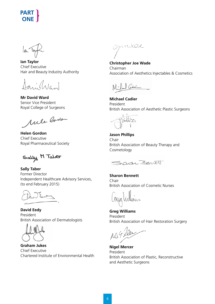$\frac{1}{a}$ 

**Ian Taylor** Chief Executive Hair and Beauty Industry Authority

anishland

**Mr David Ward** Senior Vice President Royal College of Surgeons

Mile Barber

**Helen Gordon** Chief Executive Royal Pharmaceutical Society

Sally M Taber

**Sally Taber** Former Director Independent Healthcare Advisory Services, (to end February 2015)

**David Eedy** President British Association of Dermatologists

**Graham Jukes** Chief Executive Chartered Institute of Environmental Health

opinice

**Christopher Joe Wade** Chairman Association of Aesthetics Injectables & Cosmetics

Codie

**Michael Cadier** President British Association of Aesthetic Plastic Surgeons



**Jason Phillips** Chair British Association of Beauty Therapy and Cosmetology

Shawer Bowell

**Sharon Bennett** Chair British Association of Cosmetic Nurses

**Greg Williams** President British Association of Hair Restoration Surgery

**Nigel Mercer** President British Association of Plastic, Reconstructive and Aesthetic Surgeons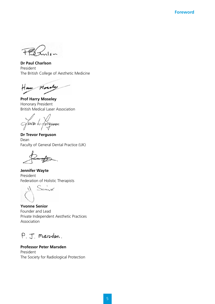**Foreword**

**Dr Paul Charlson** President The British College of Aesthetic Medicine

Home Mosaly

**Prof Harry Moseley** Honorary President British Medical Laser Association

fravar h fingnoon

**Dr Trevor Ferguson** Dean Faculty of General Dental Practice (UK)

**Jennifer Wayte** President Federation of Holistic Therapists

semor

**Yvonne Senior** Founder and Lead Private Independent Aesthetic Practices Association

P. J. Marsden.

**Professor Peter Marsden** President The Society for Radiological Protection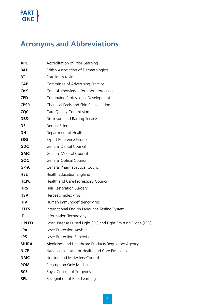# **Acronyms and Abbreviations**

| <b>APL</b>    | Accreditation of Prior Learning                                  |  |  |  |
|---------------|------------------------------------------------------------------|--|--|--|
| <b>BAD</b>    | <b>British Association of Dermatologists</b>                     |  |  |  |
| BT            | Botulinum toxin                                                  |  |  |  |
| <b>CAP</b>    | Committee of Advertising Practice                                |  |  |  |
| <b>CoK</b>    | Core of Knowledge for laser protection                           |  |  |  |
| <b>CPD</b>    | Continuing Professional Development                              |  |  |  |
| <b>CPSR</b>   | Chemical Peels and Skin Rejuvenation                             |  |  |  |
| <b>CQC</b>    | Care Quality Commission                                          |  |  |  |
| <b>DBS</b>    | Disclosure and Barring Service                                   |  |  |  |
| DF            | Dermal Filler                                                    |  |  |  |
| <b>DH</b>     | Department of Health                                             |  |  |  |
| <b>ERG</b>    | <b>Expert Reference Group</b>                                    |  |  |  |
| <b>GDC</b>    | <b>General Dental Council</b>                                    |  |  |  |
| <b>GMC</b>    | <b>General Medical Council</b>                                   |  |  |  |
| <b>GOC</b>    | <b>General Optical Council</b>                                   |  |  |  |
| <b>GPhC</b>   | <b>General Pharmaceutical Council</b>                            |  |  |  |
| <b>HEE</b>    | Health Education England                                         |  |  |  |
| <b>HCPC</b>   | <b>Health and Care Professions Council</b>                       |  |  |  |
| <b>HRS</b>    | Hair Restoration Surgery                                         |  |  |  |
| <b>HSV</b>    | Herpes simplex virus                                             |  |  |  |
| <b>HIV</b>    | Human immunodeficiency virus                                     |  |  |  |
| <b>IELTS</b>  | International English Language Testing System                    |  |  |  |
| IT            | Information Technology                                           |  |  |  |
| <b>LIPLED</b> | Laser, Intense Pulsed Light (IPL) and Light Emitting Diode (LED) |  |  |  |
| <b>LPA</b>    | Laser Protection Adviser                                         |  |  |  |
| <b>LPS</b>    | Laser Protection Supervisor                                      |  |  |  |
| <b>MHRA</b>   | Medicines and Healthcare Products Regulatory Agency              |  |  |  |
| <b>NICE</b>   | National Institute for Health and Care Excellence                |  |  |  |
| <b>NMC</b>    | Nursing and Midwifery Council                                    |  |  |  |
| <b>POM</b>    | Prescription Only Medicine                                       |  |  |  |
| <b>RCS</b>    | Royal College of Surgeons                                        |  |  |  |
| <b>RPL</b>    | Recognition of Prior Learning                                    |  |  |  |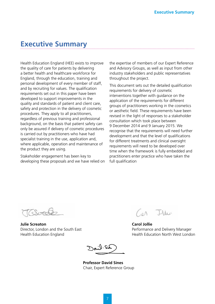# **Executive Summary**

Health Education England (HEE) exists to improve the quality of care for patients by delivering a better health and healthcare workforce for England, through the education, training and personal development of every member of staff, and by recruiting for values. The qualification requirements set out in this paper have been developed to support improvements in the quality and standards of patient and client care, safety and protection in the delivery of cosmetic procedures. They apply to all practitioners, regardless of previous training and professional background, on the basis that patient safety can only be assured if delivery of cosmetic procedures is carried out by practitioners who have had specialist training in the use, application and, where applicable, operation and maintenance of the product they are using.

Stakeholder engagement has been key to developing these proposals and we have relied on

the expertise of members of our Expert Reference and Advisory Groups, as well as input from other industry stakeholders and public representatives throughout the project.

This document sets out the detailed qualification requirements for delivery of cosmetic interventions together with guidance on the application of the requirements for different groups of practitioners working in the cosmetics or aesthetic field. These requirements have been revised in the light of responses to a stakeholder consultation which took place between 9 December 2014 and 9 January 2015. We recognise that the requirements will need further development and that the level of qualifications for different treatments and clinical oversight requirements will need to be developed over time when the framework is fully embedded and practitioners enter practice who have taken the full qualification

**Julie Screaton** Director, London and the South East Health Education England

Ille  $(a\Lambda)$ 

**Carol Jollie** Performance and Delivery Manager Health Education North West London

ar lio

**Professor David Sines** Chair, Expert Reference Group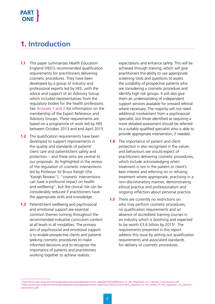# **1. Introduction**

- **1.1** This paper summarises Health Education England (HEE)'s recommended qualification requirements for practitioners delivering cosmetic procedures. They have been developed by a group of industry and professional experts led by HEE, with the advice and support of an Advisory Group which included representatives from the regulatory bodies for the health professions. See Annexes 1 and 2 for information on the membership of the Expert Reference and Advisory Groups. These requirements are based on a programme of work led by HEE between October 2013 and end April 2015.
- **1.2** The qualification requirements have been developed to support improvements in the quality and standards of patient/ client care and patient/client safety and protection – and these aims are central to our proposals. As highlighted in the review of the regulation of cosmetic interventions led by Professor Sir Bruce Keogh (the 'Keogh Review'1 ), "cosmetic interventions can have a profound impact on health and wellbeing", but the clinical risk can be considerably reduced if practitioners have the appropriate skills and knowledge.
- **1.3** Patient/client wellbeing and psychosocial and emotional support are essential common themes running throughout the recommended indicative curriculum content at all levels in all modalities. The primary aim of psychosocial and emotional support is to enable prospective clients and patients seeking cosmetic procedures to make informed decisions and to recognise the importance of patients and practitioners working together to achieve realistic

expectations and enhance safety. This will be achieved through training, which will give practitioners the ability to use appropriate screening tools and questions to assess the suitability of prospective patients who are considering a cosmetic procedure and identify high risk groups. It will also give them an understanding of independent support services available for onward referral where necessary. The majority will not need additional involvement from a psychosocial specialist, but those identified as requiring a more detailed assessment should be referred to a suitably qualified specialist who is able to provide appropriate intervention, if needed.

- **1.4** The importance of patient and client protection is also recognised in the values and behaviours we would expect of practitioners delivering cosmetic procedures, which include acknowledging when treatment is not in the patient or client's best interest and referring on or refusing treatment where appropriate, practising in a non-discriminatory manner, demonstrating ethical practice and professionalism and ongoing reflection about personal practice.
- **1.5** There are currently no restrictions on who may perform cosmetic procedures, no qualification requirements and an absence of accredited training courses in an industry which is booming and expected to be worth  $£3.6$  billion by  $2015<sup>2</sup>$ . The requirements presented in this report address this issue by setting out qualification requirements and associated standards for delivery of cosmetic procedures.

<sup>&</sup>lt;sup>1</sup> https://www.gov.uk/government/uploads/system/uploads/attachment\_data/file/192028/Review\_of\_the\_Regulation\_of\_Cosmetic\_Interventions.pdf 2 https://www.gov.uk/government/uploads/system/uploads/attachment\_data/file/279431/Government\_response\_to\_the\_review\_of\_the\_regulation\_of\_cosmetic\_ interventions.pdf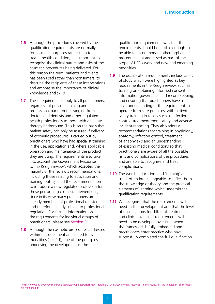- **1.6** Although the procedures covered by these qualification requirements are normally for cosmetic purposes rather than to treat a health condition, it is important to recognise the clinical nature and risks of the cosmetic procedures being delivered. For this reason the term 'patients and clients' has been used rather than 'consumers' to describe the recipients of these interventions and emphasise the importance of clinical knowledge and skills.
- **1.7** These requirements apply to all practitioners, regardless of previous training and professional background, ranging from doctors and dentists and other regulated health professionals to those with a beauty therapy background. This is on the basis that patient safety can only be assured if delivery of cosmetic procedures is carried out by practitioners who have had specialist training in the use, application and, where applicable, operation and maintenance of the product they are using. The requirements also take into account the Government Response to the Keogh review<sup>2</sup>, which accepted the majority of the review's recommendations, including those relating to education and training, but rejected the recommendation to introduce a new regulated profession for those performing cosmetic interventions, since in its view many practitioners are already members of professional registers and therefore already subject to professional regulation. For further information on the requirements for individual groups of practitioners, please see Section 3.
- **1.8** Although the cosmetic procedures addressed within this document are limited to five modalities (see 2.1), one of the principles underlying the development of the

qualification requirements was that the requirements should be flexible enough to be able to accommodate other 'orphan' procedures not addressed as part of the scope of HEE's work and new and emerging modalities.

- **1.9** The qualification requirements include areas of study which were highlighted as key requirements in the Keogh review, such as training on obtaining informed consent, information governance and record keeping, and ensuring that practitioners have a clear understanding of the requirement to operate from safe premises, with patient safety training in topics such as infection control, treatment room safety and adverse incident reporting. They also address recommendations for training in physiology, anatomy, infection control, treatment of anaphylaxis and an understanding of existing medical conditions so that practitioners are aware of all the possible risks and complications of the procedures and are able to recognise and treat complications.
- **1.10** The words 'education' and 'training' are used, often interchangeably, to reflect both the knowledge or theory and the practical elements of learning which underpin the qualification requirements.
- **1.11** We recognise that the requirements will need further development and that the level of qualifications for different treatments and clinical oversight requirements will need to be developed over time when the framework is fully embedded and practitioners enter practice who have successfully completed the full qualification.

<sup>2</sup> https://www.gov.uk/government/uploads/system/uploads/attachment\_data/file/279431/Government\_response\_to\_the\_review\_of\_the\_regulation\_of\_cosmetic\_ interventions.pdf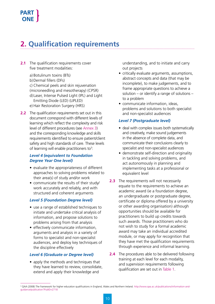# **2. Qualification requirements**

- **2.1** The qualification requirements cover five treatment modalities:
	- a) Botulinum toxins (BTs) b)Dermal fillers (DFs) c) Chemical peels and skin rejuvenation (microneedling and mesotherapy) (CPSR) d) Laser, Intense Pulsed Light (IPL) and Light Emitting Diode (LED) (LIPLED) e) Hair Restoration Surgery (HRS)
- **2.2** The qualification requirements set out in this document correspond with different levels of learning which reflect the complexity and risk level of different procedures (see Annex 3) and the corresponding knowledge and skills requirements identified to ensure patient/client safety and high standards of care. These levels of learning will enable practitioners to<sup>3</sup>:

#### *Level 4 (equivalent to Foundation Degree Year One level)*

- evaluate the appropriateness of different approaches to solving problems related to their area(s) of study and/or work
- communicate the results of their study/ work accurately and reliably, and with structured and coherent arguments

#### *Level 5 (Foundation Degree level)*

- use a range of established techniques to initiate and undertake critical analysis of information, and propose solutions to problems arising from that analysis
- effectively communicate information, arguments and analysis in a variety of forms to specialist and non-specialist audiences, and deploy key techniques of the discipline effectively

#### *Level 6 (Graduate or Degree level)*

• apply the methods and techniques that they have learned to review, consolidate, extend and apply their knowledge and

understanding, and to initiate and carry out projects

- critically evaluate arguments, assumptions, abstract concepts and data (that may be incomplete), to make judgements, and to frame appropriate questions to achieve a solution – or identify a range of solutions – to a problem
- communicate information, ideas, problems and solutions to both specialist and non-specialist audiences

#### *Level 7 (Postgraduate level)*

- deal with complex issues both systematically and creatively, make sound judgements in the absence of complete data, and communicate their conclusions clearly to specialist and non-specialist audiences
- demonstrate self-direction and originality in tackling and solving problems, and act autonomously in planning and implementing tasks at a professional or equivalent level
- **2.3** The requirements will not necessarily equate to the requirements to achieve an academic award (ie a foundation degree, an undergraduate or postgraduate degree, certificate or diploma offered by a university or other awarding organisation) although opportunities should be available for practitioners to build up credits towards such awards. Those practitioners who do not wish to study for a formal academic award may take an individual accredited module, or may apply for recognition that they have met the qualification requirements through experience and informal learning.
- **2.4** The procedures able to be delivered following training at each level for each modality, and supervision requirements following qualification are set out in Table 1.

<sup>3</sup> QAA (2008) The framework for higher education qualifications in England, Wales and Northern Ireland. http://www.qaa.ac.uk/publications/information-andguidance/publication?PubID=2718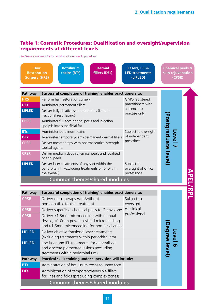#### Table 1: Cosmetic Procedures: Qualification and oversight/supervision requirements at different levels

See Glossary in Annex 4 for further information on specific procedures



#### 11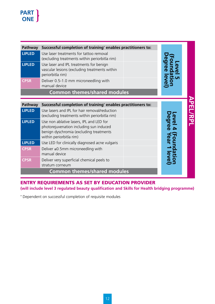| Pathway<br>Successful completion of training* enables practitioners to:<br><b>LIPLED</b><br>Use laser treatments for tattoo removal<br>(excluding treatments within periorbitla rim)<br><b>LIPLED</b><br>Use laser and IPL treatments for benign<br>vascular lesions (excluding treatments within<br>periorbitla rim)<br><b>CPSR</b><br>Deliver 0.5-1.0 mm microneedling with |                                                                                                                                                                            |   |                 |  |
|-------------------------------------------------------------------------------------------------------------------------------------------------------------------------------------------------------------------------------------------------------------------------------------------------------------------------------------------------------------------------------|----------------------------------------------------------------------------------------------------------------------------------------------------------------------------|---|-----------------|--|
|                                                                                                                                                                                                                                                                                                                                                                               | manual device<br><b>Common themes/shared modules</b>                                                                                                                       |   |                 |  |
|                                                                                                                                                                                                                                                                                                                                                                               |                                                                                                                                                                            |   |                 |  |
| Pathway                                                                                                                                                                                                                                                                                                                                                                       | Successful completion of training* enables practitioners to:                                                                                                               |   |                 |  |
| <b>LIPLED</b>                                                                                                                                                                                                                                                                                                                                                                 | Use lasers and IPL for hair removal/reduction<br>(excluding treatments within periorbitla rim)                                                                             |   | <b>APEL/RPI</b> |  |
| <b>LIPLED</b>                                                                                                                                                                                                                                                                                                                                                                 | evel<br>level<br>Use non ablative lasers, IPL and LED for<br>photorejuvenation including sun induced<br>benign dyschromia (excluding treatments<br>within periorbitla rim) |   |                 |  |
| <b>LIPLED</b>                                                                                                                                                                                                                                                                                                                                                                 | Use LED for clinically diagnosed acne vulgaris                                                                                                                             |   |                 |  |
| <b>CPSR</b>                                                                                                                                                                                                                                                                                                                                                                   | Deliver ≤0.5mm microneedling with<br>manual device                                                                                                                         | ō |                 |  |
| <b>CPSR</b>                                                                                                                                                                                                                                                                                                                                                                   | Deliver very superficial chemical peels to<br>stratum corneum                                                                                                              |   |                 |  |
| <b>Common themes/shared modules</b>                                                                                                                                                                                                                                                                                                                                           |                                                                                                                                                                            |   |                 |  |

ENTRY REQUIREMENTS AS SET BY EDUCATION PROVIDER

**(will include level 3 regulated beauty qualification and Skills for Health bridging programme)**

**\*** Dependent on successful completion of requisite modules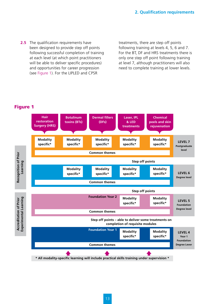**2.5** The qualification requirements have been designed to provide step off points following successful completion of training at each level (at which point practitioners will be able to deliver specific procedures) and opportunities for career progression (see Figure 1). For the LIPLED and CPSR

treatments, there are step off points following training at levels 4, 5, 6 and 7. For the BT, DF and HRS treatments there is only one step off point following training at level 7, although practitioners will also need to complete training at lower levels.

#### Figure 1

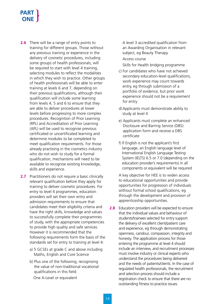- **2.6** There will be a range of entry points to training for different groups. Those without any previous training or experience in the delivery of cosmetic procedures, including some groups of health professionals, will be required to start with level 4 training, selecting modules to reflect the modalities in which they wish to practice. Other groups of health professionals will be able to enter training at levels 6 and 7, depending on their previous qualifications, although their qualification will include some learning from levels 4, 5 and 6 to ensure that they are able to deliver procedures at lower levels before progressing to more complex procedures. Recognition of Prior Learning (RPL) and Accreditation of Prior Learning (APL) will be used to recognise previous certificated or uncertificated learning and determine modules to be completed to meet qualification requirements. For those already practising in the cosmetics industry who do not wish to study for a formal qualification, mechanisms will need to be available to recognise existing knowledge, skills and experience.
- **2.7** Practitioners do not require a basic clinically relevant qualification before they apply for training to deliver cosmetic procedures. For entry to level 4 programmes, education providers will set their own entry and admission requirements to ensure that candidates meet their eligibility criteria and have the right skills, knowledge and values to successfully complete their programmes of study, with the appropriate competencies to provide high quality and safe services. However it is recommended that the following requirements form the basis of the standards set for entry to training at level 4:
	- a) 5 GCSEs at grade C and above including Maths, English and Core Science
	- b) Plus one of the following, recognising the value of non-traditional vocational qualifications in this field: One A-Level or equivalent

 A level 3 accredited qualification from an Awarding Organisation in relevant subject, eg Beauty Therapy Access course

Skills for Health bridging programme

- c) For candidates who have not achieved secondary education-level qualifications, work experience may count towards entry, eg through submission of a portfolio of evidence, but prior work experience should not be a requirement for entry
- d) Applicants must demonstrate ability to study at level 4
- e) Applicants must complete an enhanced Disclosure and Barring Service (DBS) application form and receive a DBS certificate
- f) If English is not the applicant's first language, an English language level of International English Language Testing System (IELTS) 6.5 or 7.0 (depending on the education provider's requirements) in all components or equivalent will be required

A key objective for HEE is to widen access to educational opportunities and provide opportunities for progression of individuals without formal school qualifications, eg through the development and provision of apprenticeship opportunities.

**2.8** Education providers will be expected to ensure that the individual values and behaviour of students/trainees selected for entry support the delivery of excellent client/patient care and experience, eg through demonstrating openness, candour, compassion, integrity and honesty. The application process for those entering the programme at level 4 should include an interview, and recruitment processes must involve industry or clinical experts who understand the procedures being delivered and the needs of patients/clients. In the case of regulated health professionals, the recruitment and selection process should include a registration check to ensure that there are no outstanding fitness to practice issues.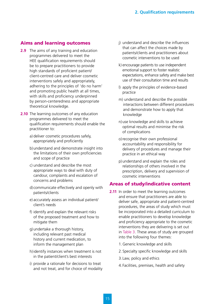#### Aims and learning outcomes

- **2.9** The aims of any training and education programmes delivered to meet the HEE qualification requirements should be to prepare practitioners to provide high standards of proficient patient/ client-centred care and deliver cosmetic interventions safely and appropriately, adhering to the principles of 'do no harm' and promoting public health at all times, with skills and proficiency underpinned by person-centeredness and appropriate theoretical knowledge.
- **2.10** The learning outcomes of any education programmes delivered to meet the qualification requirements should enable the practitioner to:
	- a) deliver cosmetic procedures safely, appropriately and proficiently
	- b) understand and demonstrate insight into the limitations of their own proficiencies and scope of practice
	- c) understand and describe the most appropriate ways to deal with duty of candour, complaints and escalation of concerns and problems
	- d) communicate effectively and openly with patients/clients
	- e) accurately assess an individual patient/ client's needs
	- f) identify and explain the relevant risks of the proposed treatment and how to mitigate them
	- g) undertake a thorough history, including relevant past medical history and current medication, to inform the management plan
	- h) identify instances when treatment is not in the patient/client's best interests
	- i) provide a rationale for decisions to treat and not treat, and for choice of modality
- j) understand and describe the influences that can affect the choices made by patients/clients and practitioners about cosmetic interventions to be used
- k) encourage patients to use independent emotional support to foster realistic expectations, enhance safety and make best use of their consultation time and results
- l) apply the principles of evidence-based practice
- m) understand and describe the possible interactions between different procedures and demonstrate how to apply that knowledge
- n) use knowledge and skills to achieve optimal results and minimise the risk of complications
- o) recognise their own professional accountability and responsibility for delivery of procedures and manage their practice in an ethical way
- p) understand and explain the roles and relationships of others involved in the prescription, delivery and supervision of cosmetic interventions

#### Areas of study/indicative content

- **2.11** In order to meet the learning outcomes and ensure that practitioners are able to deliver safe, appropriate and patient-centred procedures, the areas of study which must be incorporated into a detailed curriculum to enable practitioners to develop knowledge and proficiency appropriate to the cosmetic interventions they are delivering is set out in Table 3. These areas of study are grouped into the following four themes:
	- 1.Generic knowledge and skills
	- 2.Specialty specific knowledge and skills
	- 3. Law, policy and ethics
	- 4. Facilities, premises, health and safety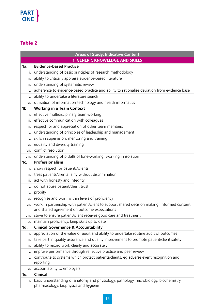### Table 2

| <b>Areas of Study: Indicative Content</b> |                                                                                                     |  |  |  |
|-------------------------------------------|-----------------------------------------------------------------------------------------------------|--|--|--|
|                                           | <b>1. GENERIC KNOWLEDGE AND SKILLS</b>                                                              |  |  |  |
| 1a.                                       | <b>Evidence-based Practice</b>                                                                      |  |  |  |
| L.                                        | understanding of basic principles of research methodology                                           |  |  |  |
| ii.                                       | ability to critically appraise evidence-based literature                                            |  |  |  |
| Ш.                                        | understanding of systematic review                                                                  |  |  |  |
| İV.                                       | adherence to evidence-based practice and ability to rationalise deviation from evidence base        |  |  |  |
| V.                                        | ability to undertake a literature search                                                            |  |  |  |
| vi.                                       | utilisation of information technology and health informatics                                        |  |  |  |
| 1b.                                       | <b>Working in a Team Context</b>                                                                    |  |  |  |
| $\mathbf{L}$                              | effective multidisciplinary team working                                                            |  |  |  |
| ii.                                       | effective communication with colleagues                                                             |  |  |  |
| iii.                                      | respect for and appreciation of other team members                                                  |  |  |  |
| İV.                                       | understanding of principles of leadership and management                                            |  |  |  |
| V.                                        | skills in supervision, mentoring and training                                                       |  |  |  |
| Vİ.                                       | equality and diversity training                                                                     |  |  |  |
| vii.                                      | conflict resolution                                                                                 |  |  |  |
| viii.                                     | understanding of pitfalls of lone-working; working in isolation                                     |  |  |  |
| 1c.                                       | Professionalism                                                                                     |  |  |  |
| Τ.                                        | show respect for patients/clients                                                                   |  |  |  |
| Ш.                                        | treat patients/clients fairly without discrimination                                                |  |  |  |
| iii.                                      | act with honesty and integrity                                                                      |  |  |  |
| IV.                                       | do not abuse patient/client trust                                                                   |  |  |  |
| V.                                        | probity                                                                                             |  |  |  |
| Vİ.                                       | recognise and work within levels of proficiency                                                     |  |  |  |
| vii.                                      | work in partnership with patient/client to support shared decision making, informed consent         |  |  |  |
|                                           | and shared agreement on outcome expectations                                                        |  |  |  |
|                                           | viii. strive to ensure patient/client receives good care and treatment                              |  |  |  |
| IX.                                       | maintain proficiency, keep skills up to date                                                        |  |  |  |
| 1d.                                       | <b>Clinical Governance &amp; Accountability</b>                                                     |  |  |  |
| T.                                        | appreciation of the value of audit and ability to undertake routine audit of outcomes               |  |  |  |
| ii.                                       | take part in quality assurance and quality improvement to promote patient/client safety             |  |  |  |
| iii.                                      | ability to record work clearly and accurately                                                       |  |  |  |
| İV.                                       | improve performance through reflective practice and peer review                                     |  |  |  |
| V.                                        | contribute to systems which protect patients/clients, eg adverse event recognition and<br>reporting |  |  |  |
|                                           | accountability to employers                                                                         |  |  |  |
| VI.<br>1e.                                | <b>Clinical</b>                                                                                     |  |  |  |
| Τ.                                        | basic understanding of anatomy and physiology, pathology, microbiology, biochemistry,               |  |  |  |
|                                           | pharmacology, biophysics and hygiene                                                                |  |  |  |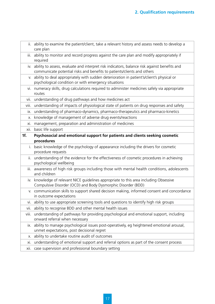|       | ii. ability to examine the patient/client, take a relevant history and assess needs to develop a<br>care plan                                                               |
|-------|-----------------------------------------------------------------------------------------------------------------------------------------------------------------------------|
|       | iii. ability to monitor and record progress against the care plan and modify appropriately if<br>required                                                                   |
|       | iv. ability to assess, evaluate and interpret risk indicators, balance risk against benefits and<br>communicate potential risks and benefits to patients/clients and others |
| V.    | ability to deal appropriately with sudden deterioration in patient's/client's physical or<br>psychological condition or with emergency situations                           |
| VI.   | numeracy skills, drug calculations required to administer medicines safely via appropriate<br>routes                                                                        |
| vii.  | understanding of drug pathways and how medicines act                                                                                                                        |
| VIII. | understanding of impacts of physiological state of patients on drug responses and safety                                                                                    |
| IX.   | understanding of pharmaco-dynamics, pharmaco-therapeutics and pharmaco-kinetics                                                                                             |
| Χ.    | knowledge of management of adverse drug events/reactions                                                                                                                    |
| xi.   | management, preparation and administration of medicines                                                                                                                     |
| xii.  | basic life support                                                                                                                                                          |
| 1f.   | Psychosocial and emotional support for patients and clients seeking cosmetic                                                                                                |
|       | procedures                                                                                                                                                                  |
| İ.    | basic knowledge of the psychology of appearance including the drivers for cosmetic<br>procedure requests                                                                    |
| ii.   | understanding of the evidence for the effectiveness of cosmetic procedures in achieving<br>psychological wellbeing                                                          |
|       | iii. awareness of high risk groups including those with mental health conditions, adolescents<br>and children                                                               |
|       | iv. knowledge of relevant NICE guidelines appropriate to this area including Obsessive<br>Compulsive Disorder (OCD) and Body Dysmorphic Disorder (BDD)                      |
|       | v. communication skills to support shared decision making, informed consent and concordance<br>in outcome expectations                                                      |
|       | vi. ability to use appropriate screening tools and questions to identify high risk groups                                                                                   |
|       | vii. ability to recognise BDD and other mental health issues                                                                                                                |
| viii. | understanding of pathways for providing psychological and emotional support, including<br>onward referral when necessary                                                    |
| IX.   | ability to manage psychological issues post-operatively, eg heightened emotional arousal,<br>unmet expectations, post decisional regret                                     |
| X.    | ability to undertake routine audit of outcomes                                                                                                                              |
| XI.   | understanding of emotional support and referral options as part of the consent process                                                                                      |
| xii.  |                                                                                                                                                                             |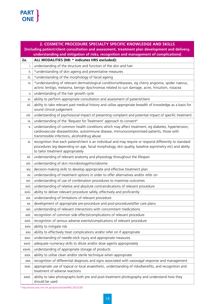| 2. COSMETIC PROCEDURE SPECIALTY SPECIFIC KNOWLEDGE AND SKILLS |                                                                                                                                                                                                                                                        |  |
|---------------------------------------------------------------|--------------------------------------------------------------------------------------------------------------------------------------------------------------------------------------------------------------------------------------------------------|--|
|                                                               | [Including patient/client consultation and assessment, treatment plan development and delivery,                                                                                                                                                        |  |
|                                                               | understanding and mitigation of risks, recognition and management of complications]                                                                                                                                                                    |  |
| 2a.                                                           | ALL MODALITIES (NB: * indicates HRS excluded):                                                                                                                                                                                                         |  |
| i.                                                            | understanding of the structure and function of the skin and hair                                                                                                                                                                                       |  |
| ii.                                                           | *understanding of skin ageing and preventative measures                                                                                                                                                                                                |  |
| iii.                                                          | *understanding of the morphology of facial ageing                                                                                                                                                                                                      |  |
| iv.                                                           | *understanding of relevant dermatological conditions/diseases, eg cherry angioma, spider naevus,<br>actinic lentigo, melasma, benign dyschromias related to sun damage, acne, hirsutism, rosacea                                                       |  |
| V.                                                            | understanding of the hair growth cycle                                                                                                                                                                                                                 |  |
| vi.                                                           | ability to perform appropriate consultation and assessment of patient/client                                                                                                                                                                           |  |
| vii.                                                          | ability to take relevant past medical history and utilise appropriate breadth of knowledge as a basis for<br>sound clinical judgement                                                                                                                  |  |
| viii.                                                         | understanding of psychosocial impact of presenting complaint and potential impact of specific treatment                                                                                                                                                |  |
| ix.                                                           | understanding of the 'Request for Treatment' approach to consent <sup>4</sup>                                                                                                                                                                          |  |
| Χ.                                                            | understanding of common health conditions which may affect treatment, eg diabetes, hypertension,<br>cardiovascular disease/stroke, autoimmune disease, immunocompromised patients, those with<br>transmissible infections, alcohol/drug abuse          |  |
| xi.                                                           | recognition that each patient/client is an individual and may require or respond differently to standard<br>procedures (eg depending on age, facial morphology, skin quality, baseline asymmetry etc) and ability<br>to tailor treatment appropriately |  |
| xii.                                                          | understanding of relevant anatomy and physiology throughout the lifespan                                                                                                                                                                               |  |
| xiii.                                                         | understanding of skin microbiology/microbiome                                                                                                                                                                                                          |  |
| xiv.                                                          | decision-making skills to develop appropriate and effective treatment plan                                                                                                                                                                             |  |
| XV.                                                           | understanding of treatment options in order to offer alternatives and/or refer on                                                                                                                                                                      |  |
| xvi.                                                          | understanding of use of combination procedures to maximise outcomes                                                                                                                                                                                    |  |
| xvii.                                                         | understanding of relative and absolute contraindications of relevant procedure                                                                                                                                                                         |  |
| xviii.                                                        | ability to deliver relevant procedure safely, effectively and proficiently                                                                                                                                                                             |  |
| xix.                                                          | understanding of limitations of relevant procedure                                                                                                                                                                                                     |  |
| XX.                                                           | development of appropriate pre-procedure and post-procedure/after care plans                                                                                                                                                                           |  |
| XXI.                                                          | understanding of relevant interactions with concomitant medications                                                                                                                                                                                    |  |
| xxii.                                                         | recognition of common side effects/complications of relevant procedure                                                                                                                                                                                 |  |
| xxiii.                                                        | recognition of serious adverse events/complications of relevant procedure                                                                                                                                                                              |  |
| XXIV.                                                         | ability to mitigate risk                                                                                                                                                                                                                               |  |
| XXV.                                                          | ability to effectively treat complications and/or refer on if appropriate                                                                                                                                                                              |  |
| xxvi.                                                         | understanding of needle-stick injury and appropriate measures                                                                                                                                                                                          |  |
| xxvii.                                                        | adequate numeracy skills to dilute and/or dose agents appropriately                                                                                                                                                                                    |  |
| xxviii.                                                       | understanding of appropriate storage of products                                                                                                                                                                                                       |  |
| xxix.                                                         | ability to utilise clean and/or sterile technique when appropriate                                                                                                                                                                                     |  |
| XXX.                                                          | recognition of differential diagnosis and signs associated with vasovagal response and management                                                                                                                                                      |  |
| XXXI.                                                         | appropriate use of topical or local anaesthetic, understanding of risks/benefits, and recognition and<br>treatment of adverse reactions                                                                                                                |  |
| xxxii.                                                        | ability to take photographs both pre and post-treatment photography and understand how they<br>should be used                                                                                                                                          |  |

<sup>4</sup> http://www.ncbi.nlm.nih.gov/pmc/articles/PMC3025230/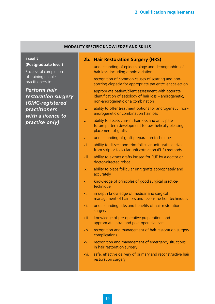#### **MODALITY SPECIFIC KNOWLEDGE AND SKILLS**

**Level 7 (Postgraduate level)**

Successful completion of training enables practitioners to:

*Perform hair restoration surgery (GMC-registered practitioners with a licence to practise only)*

#### **2b. Hair Restoration Surgery (HRS)**

- i. understanding of epidemiology and demographics of hair loss, including ethnic variation
- ii. recognition of common causes of scarring and nonscarring alopecia for appropriate patient/client selection
- iii. appropriate patient/client assessment with accurate identification of aetiology of hair loss – androgenetic, non-androgenetic or a combination
- iv. ability to offer treatment options for androgenetic, nonandrogenetic or combination hair loss
- v. ability to assess current hair loss and anticipate future pattern development for aesthetically pleasing placement of grafts
- vi. understanding of graft preparation techniques
- vii. ability to dissect and trim follicular unit grafts derived from strip or follicular unit extraction (FUE) methods
- viii. ability to extract grafts incised for FUE by a doctor or doctor-directed robot
- ix. ability to place follicular unit grafts appropriately and accurately
- x. knowledge of principles of good surgical practice/ technique
- xi. in depth knowledge of medical and surgical management of hair loss and reconstruction techniques
- xii. understanding risks and benefits of hair restoration surgery
- xiii. knowledge of pre-operative preparation, and appropriate intra- and post-operative care
- xiv. recognition and management of hair restoration surgery complications
- xv. recognition and management of emergency situations in hair restoration surgery
- xvi. safe, effective delivery of primary and reconstructive hair restoration surgery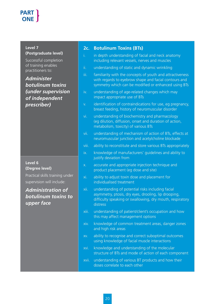**Level 7 (Postgraduate level)**

Successful completion of training enables practitioners to:

*Administer botulinum toxins (under supervision of independent prescriber)*

#### **Level 6 (Degree level)**

Practical skills training under supervision will include:

### *Administration of botulinum toxins to upper face*

#### **2c. Botulinum Toxins (BTs)**

- i. in depth understanding of facial and neck anatomy including relevant vessels, nerves and muscles
- ii. understanding of static and dynamic wrinkling
- iii. familiarity with the concepts of youth and attractiveness with regards to eyebrow shape and facial contours and symmetry which can be modified or enhanced using BTs
- iv. understanding of age-related changes which may impact appropriate use of BTs
- v. identification of contraindications for use, eg pregnancy, breast feeding, history of neuromuscular disorder
- vi. understanding of biochemistry and pharmacology (eg dilution, diffusion, onset and duration of action, metabolism, toxicity) of various BTs
- vii. understanding of mechanism of action of BTs, effects at neuromuscular junction and acetylcholine blockade
- viii. ability to reconstitute and store various BTs appropriately
- ix. knowledge of manufacturers' guidelines and ability to justify deviation from
- x. accurate and appropriate injection technique and product placement (eg dose and site)
- xi. ability to adjust toxin dose and placement for individualised treatment
- xii. understanding of potential risks including facial asymmetry, ptosis, dry eyes, drooling, lip drooping, difficulty speaking or swallowing, dry mouth, respiratory distress
- xiii. understanding of patient/client's occupation and how this may affect management options
- xiv. knowledge of common treatment areas, danger zones and high risk areas
- xv. ability to recognise and correct suboptimal outcomes using knowledge of facial muscle interactions
- xvi. knowledge and understanding of the molecular structure of BTs and mode of action of each component
- xvii. understanding of various BT products and how their doses correlate to each other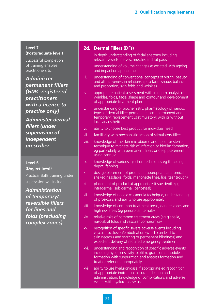#### **Level 7 (Postgraduate level)**

Successful completion of training enables practitioners to:

*Administer permanent fillers (GMC-registered practitioners with a licence to practise only)*

*Administer dermal fillers (under supervision of independent prescriber*

#### **Level 6 (Degree level)**

Practical skills training under supervision will include:

*Administration of temporary/ reversible fillers for lines and folds (precluding complex zones)*

#### **2d. Dermal Fillers (DFs)**

- i. in depth understanding of facial anatomy including relevant vessels, nerves, muscles and fat pads
- ii. understanding of volume changes associated with ageing and impact on appearance
- iii. understanding of conventional concepts of youth, beauty and attractiveness in relationship to facial shape, balance and proportion, skin folds and wrinkles
- iv. appropriate patient assessment with in depth analysis of wrinkles, folds, facial shape and contour and development of appropriate treatment plan
- v. understanding of biochemistry, pharmacology of various types of dermal filler: permanent, semi-permanent and temporary; replacement vs stimulatory; with or without local anaesthetic
- vi. ability to choose best product for individual need
- vii. familiarity with mechanistic action of stimulatory fillers
- viii. knowledge of the skin microbiome and need for sterile technique to mitigate risk of infection or biofilm formation, eg particularly with permanent fillers or deep placement using cannula
- ix. knowledge of various injection techniques eg threading, depot, fanning
- x. dosage placement of product at appropriate anatomical site (eg nasolabial folds, marionette lines, lips, tear trough)
- xi. placement of product at appropriate tissue depth (eg intradermal, sub dermal, periosteal)
- xii. knowledge of needle vs cannula technique, understanding of pros/cons and ability to use appropriately
- xiii. knowledge of common treatment areas, danger zones and high risk areas (eg periorbital, temple)
- xiv. relative risks of common treatment areas (eg glaballa, nasolabial folds and vascular compromise)
- xv. recognition of specific severe adverse events including vascular occlusion/embolisation (which can lead to skin necrosis and scarring or permanent blindness) and expedient delivery of required emergency treatment
- xvi. understanding and recognition of specific adverse events including hypersensitivity, biofilm, granuloma, nodule formation with suppuration and abscess formation and treat or refer on appropriately
- xvii. ability to use hyaluronidase if appropriate eg recognition of appropriate indication, accurate dilution and administration, knowledge of complications and adverse events with hyaluronidase use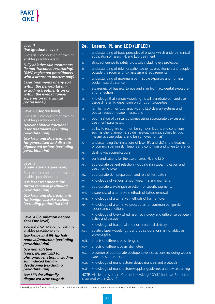#### **Level 7**

#### **(Postgraduate level)**

Successful completion of training enables practitioners to:

*Fully ablative skin treatments (ie non-fractional resurfacing) (GMC-registered practitioners with a licence to practise only)*

*Laser treatments of any sort within the periorbital rim excluding treatments on or within the eyeball (under supervision of a clinical professional)*

#### **Level 6 (Degree level)**

Successful completion of training enables practitioners to:

*Deliver ablative fractional laser treatments (exluding periorbital rim)*

*Use laser and IPL treatments for generalised and discrete pigmented lesions (excluding periorbital rim)*

### **Level 5**

**(Foundation degree level)** Successful completion of training enables practitioners to:

*Use laser treatments for tattoo removal (excluding periorbital rim)*

*Use laser and IPL treatments for benign vascular lesions (excluding periorbital rim)*

#### **Level 4 (Foundation degree Year One level)**

Successful completion of training enables practitioners to:

#### *Use lasers and IPL for hair removal/reduction (excluding periorbital rim)*

*Use non ablative lasers, IPL and LED for photorejuvenation, including sun induced benign dyschromia ((excluding periorbital rim)*

*Use LED for clinically diagnosed acne vulgaris*

#### **2e. Lasers, IPL and LED (LIPLED)**

- i. understanding of basic principles of physics which underpin clinical application of lasers, IPL and LED treatment
- ii. strict adherence to safety protocols including eye protection
- iii. understanding of risks for patients/clients, practitioners and people outside the room and risk assessment requirements
- iv. understanding of maximum permissible exposure and nominal ocular hazard distance
- v. awareness of hazards to eye and skin from accidental exposure and reflection
- vi. knowledge that various wavelengths will penetrate skin and eye tissue differently, depending on diffusion properties
- vii. familiarity with various laser, IPL and LED delivery systems and optical radiation-tissue interactions
- viii. optimisation of clinical outcomes using appropriate devices and treatment parameters
- ix. ability to recognise common benign skin lesions and conditions such as cherry angioma, spider naevus, rosacea, actinic lentigo, melasma, acne vulgaris and benign dyschromias<sup>5</sup>
- x. understanding the limitations of laser, IPL and LED in the treatment of common benign skin lesions and conditions and when to refer on
- xi. dealing with complications
- xii. contraindications for the use of laser, IPL and LED
- xiii. appropriate patient selection including skin type, indication and treatment choice
- xiv. appropriate skin preparation and role of test patch
- xv. knowledge of various tattoo types, inks and pigments
- xvi. appropriate wavelength selection for specific pigments
- xvii. awareness of alternative methods of tattoo removal
- xviii. knowledge of alternative methods of hair removal
- xix. knowledge of alternative procedures for common benign skin lesions and conditions
- xx. knowledge of Q-switched laser technology and difference between active and passive
- xxi. knowledge of fractional and non-fractional delivery
- xxii. ablative laser wavelengths and pulse durations vs nonablative wavelengths
- xxiii. effects of different pulse lengths
- xxiv. effects of different beam diameters
- xxv. provision of appropriate postoperative instructions including wound care and sun protection
- xxvi. knowledge of manufacturer device manuals and protocols
- xxvii. knowledge of manufacturer/supplier guidelines and device training

NOTE: All elements of the 'Core of Knowledge' (CoK) for Laser Protection is covered within 2c or 4

5 See Glossary for further clarification on conditions included in the terms 'Benign vascular lesions' and 'Benign dyschromias'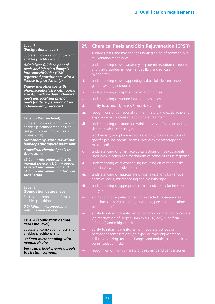#### **Level 7**

**(Postgraduate level)**

Successful completion of training enables practitioners to:

*Administer full face phenol peels and injection lipolysis into superficial fat (GMCregistered practitioners with a licence to practise only)*

*Deliver mesotherapy with pharmaceutical strength topical agents, medium depth chemical peels and localised phenol peels (under supervision of an independent prescriber)*

#### **Level 6 (Degree level)**

Successful completion of training enables practitioners to deliver (subject to oversight of clinical professional):

*Mesotherapy without/without homeopathic topical treatment*

*Superficial chemical peels to Grenz zone*

≤*1.5 mm microneedling with manual device,* ≤*1.0mm power assisted microneedling and*  ≥*1.5mm microneedling for non facial areas*

**Level 5 (Foundation degree level)**

*0.5-1.0mm microneedling with manual device*

#### **Level 4 (Foundation degree Year One level)**

Successful completion of training enables practitioners to:

≤*0.5mm microneedling with manual device*

*Very superficial chemical peels to stratum corneum*

#### **2f. Chemical Peels and Skin Rejuvenation (CPSR)**

- i. evidence base and mechanistic understanding of common skin rejuvenation techniques
- ii. understanding of skin anatomy—epidermis (stratum corneum and viable epidermis), dermis (papillary and reticular), hypodermis
- iii. understanding of skin appendages (hair follicle, sebaceous gland, sweat gland/duct)
- iv. understanding of depth of penetration of peel
- v. understanding of wound healing mechanisms
- vi. ability to accurately assess Fitzpatrick skin type
- vii. recognitions of comedonal vs inflammatory and cystic acne and step-ladder algorithms of appropriate treatment
- viii. understanding of cutaneous wrinkling vs skin folds secondary to deeper anatomical changes
- ix. biochemistry and pharmacological or physiological actions of specific peeling agents, agents used with mesotherapy and microneedling
- x. understanding of pharmacological actions of lipolytic agents used with injection and mechanism of action of tissue response
- xi. understanding of microneedling including efficacy and risks associated with needle depth
- xii. understanding of appropriate clinical indications for various chemical peels, microneedling and mesotherapy
- xiii. understanding of appropriate clinical indications for injection lipolysis
- oedema, pain)
- (eg reactivation of Herpes Simplex Virus (HSV), superficial infection) and mitigate risks
- permanent complications (eg hyper or hypo pigmentation, cellulitis, scarring, textural changes and nodules, cardiotoxicity,
- xvii. recognition of high risk areas of treatment and danger zones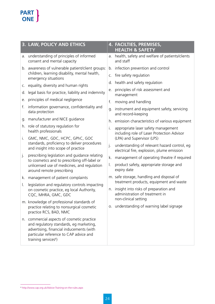|    | <b>3. LAW, POLICY AND ETHICS</b>                                                                                                                                                                                |    | 4. FACILTIES, PREMISES,<br><b>HEALTH &amp; SAFETY</b>                                      |
|----|-----------------------------------------------------------------------------------------------------------------------------------------------------------------------------------------------------------------|----|--------------------------------------------------------------------------------------------|
| a. | understanding of principles of informed<br>consent and mental capacity                                                                                                                                          | a. | health, safety and welfare of patients/clients<br>and staff                                |
|    | b. awareness of vulnerable patient/client groups:                                                                                                                                                               | b. | infection prevention and control                                                           |
|    | children, learning disability, mental health,<br>emergency situations                                                                                                                                           | C. | fire safety regulation                                                                     |
| C. | equality, diversity and human rights                                                                                                                                                                            | d. | health and safety regulation                                                               |
| d. | legal basis for practice, liability and indemnity                                                                                                                                                               | е. | principles of risk assessment and                                                          |
| е. | principles of medical negligence                                                                                                                                                                                |    | management                                                                                 |
|    |                                                                                                                                                                                                                 | f. | moving and handling                                                                        |
| f. | information governance, confidentiality and<br>data protection                                                                                                                                                  | g. | instrument and equipment safety, servicing<br>and record-keeping                           |
| g. | manufacturer and NICE guidance                                                                                                                                                                                  | h. | emission characteristics of various equipment                                              |
|    | h. role of statutory regulation for<br>health professionals                                                                                                                                                     | i. | appropriate laser safety management<br>including role of Laser Protection Advisor          |
| İ. | GMC, NMC, GDC, HCPC, GPhC, GOC                                                                                                                                                                                  |    | (LPA) and Supervisor (LPS)                                                                 |
|    | standards, proficiency to deliver procedures<br>and insight into scope of practice                                                                                                                              | j. | understanding of relevant hazard control, eg<br>electrical fire, explosion, plume emission |
| j. | prescribing legislation and guidance relating                                                                                                                                                                   | k. | management of operating theatre if required                                                |
|    | to cosmetics and to prescribing off-label or<br>unlicensed use of medicines, and regulation<br>around remote prescribing                                                                                        | I. | product safety, appropriate storage and<br>expiry date                                     |
| k. | management of patient complaints                                                                                                                                                                                |    | m. safe storage, handling and disposal of                                                  |
| I. | legislation and regulatory controls impacting                                                                                                                                                                   |    | treatment products, equipment and waste                                                    |
|    | on cosmetic practice, eg local Authority,<br>CQC, MHRA, GMC, GDC                                                                                                                                                | n. | insight into risks of preparation and<br>administration of treatment in                    |
|    | m. knowledge of professional standards of                                                                                                                                                                       |    | non-clinical setting                                                                       |
|    | practice relating to nonsurgical cosmetic<br>practice RCS, BAD, NMC                                                                                                                                             |    | o. understanding of warning label signage                                                  |
|    | n. commercial aspects of cosmetic practice<br>and regulatory standards, eg marketing,<br>advertising, financial inducements (with<br>particular reference to CAP advice and<br>training services <sup>6</sup> ) |    |                                                                                            |

<sup>6</sup> http://www.cap.org.uk/Advice-Training-on-the-rules.aspx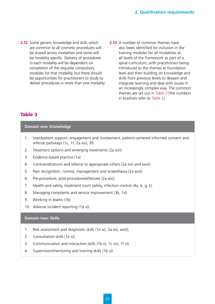- **2.12** Some generic knowledge and skills which are common to all cosmetic procedures will be shared across modalities and some will be modality specific. Delivery of procedures in each modality will be dependent on completion of the requisite compulsory modules for that modality, but there should be opportunities for practitioners to study to deliver procedures in more than one modality.
- **2.13** A number of common themes have also been identified for inclusion in the training modules for all modalities at all levels of the framework as part of a spiral curriculum, with practitioners being introduced to the themes at foundation level and then building on knowledge and skills from previous levels to deepen and integrate learning and deal with issues in an increasingly complex way. The common themes are set out in Table 3 (the numbers in brackets refer to Table 2).

#### Table 3

#### **Domain one: Knowledge**

- 1. User/patient support, engagement and involvement, patient-centered informed consent and referral pathways (1c, 1f, 2a xiv), 3f)
- 2. Treatment options and emerging treatments (2a xiv))
- 3. Evidence-based practice (1a)
- 4. Contraindications and referral to appropriate others (2a xvi) and xxiv))
- 5. Pain recognition, control, management and anaesthesia (2a xxx))
- 6. Pre-procedure, post-procedure/aftercare (2a xix))
- 7. Health and safety, treatment room safety, infection control (4a, b, g, k)
- 8. Managing complaints and service improvement (3k, 1d)
- 9. Working in teams (1b)
- 10. Adverse incident reporting (1d v))

#### **Domain two: Skills**

- 1. Risk assessment and diagnostic skills (1e iv), 2a vii), xxix)),
- 2. Consultation skills (1e ii))
- 3. Communication and interaction skills (1b ii), 1c vii), 1f v))
- 4. Supervision/mentoring and training skills (1b v))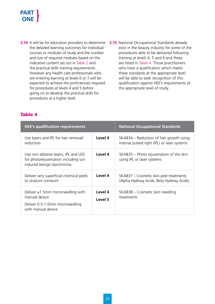- **2.14** It will be for education providers to determine **2.15** National Occupational Standards already the detailed learning outcomes for individual courses or modules of study and the number and size of required modules based on the indicative content set out in Table 2 and the practical skills training requirements. However any health care professionals who are entering learning at levels 6 or 7 will be expected to achieve the proficiencies required for procedures at levels 4 and 5 before going on to develop the practical skills for procedures at a higher level.
- exist in the beauty industry for some of the procedures able to be delivered following training at levels 4, 5 and 6 and these are listed in Table 4. Those practitioners who have a qualification which meets these standards at the appropriate level will be able to seek recognition of this qualification against HEE's requirements at the appropriate level of study.

### Table 4

| <b>HEE's qualification requirements</b>                                                                            |                    | <b>National Occupational Standards</b>                                                 |
|--------------------------------------------------------------------------------------------------------------------|--------------------|----------------------------------------------------------------------------------------|
| Use lasers and IPL for hair removal/<br>reduction                                                                  | Level 4            | SKAB34 – Reduction of hair growth using<br>intense pulsed light (IPL) or laser systems |
| Use non ablative lasers, IPL and LED<br>for photorejuvenation including sun<br>induced benign dyschromia           | Level 4            | SKAB35 – Photo rejuvenation of the skin<br>using IPL or laser systems                  |
| Deliver very superficial chemical peels<br>to stratum corneum                                                      | Level 4            | SKAB37 – Cosmetic skin peel treatments<br>(Alpha Hydroxy Acids, Beta Hydroxy Acids)    |
| Deliver $\leq 1.5$ mm microneedling with<br>manual device<br>Deliver 0.5-1.0mm microneedling<br>with manual device | Level 4<br>Level 5 | SKAB38 – Cosmetic skin needling<br>treatments                                          |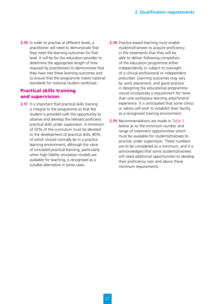**2.16** In order to practise at different levels, a practitioner will need to demonstrate that they meet the learning outcomes for that level. It will be for the education provider to determine the appropriate length of time required by practitioners to demonstrate that they have met these learning outcomes and to ensure that the programme meets national standards for notional student workload.

#### Practical skills training and supervision

- **2.17** It is important that practical skills training is integral to the programme so that the student is provided with the opportunity to observe and develop the relevant proficient practical skills under supervision. A minimum of 50% of the curriculum must be devoted to the development of practical skills, 80% of which should normally be in a practice learning environment, although the value of simulated practical learning, particularly when high fidelity simulation models are available for teaching, is recognised as a suitable alternative in some cases.
- **2.18** Practice-based learning must enable students/trainees to acquire proficiency in the treatments that they will be able to deliver following completion of the education programme either independently or subject to oversight of a clinical professional or independent prescriber. Learning outcomes may vary by work placement, and good practice in designing the educational programme would incorporate a requirement for more than one workplace learning attachment/ experience. It is anticipated that some clinics or salons will wish to establish their facility as a recognised training environment.
- **2.19** Recommendations are made in Table 5 below as to the minimum number and range of treatment opportunities which must be available for students/trainees to practise under supervision. These numbers are to be considered as a minimum, and it is acknowledged that some students/trainees will need additional opportunities to develop their proficiency over and above these minimum requirements.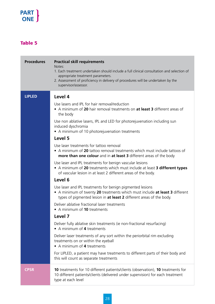### Table 5

| <b>Procedures</b> | <b>Practical skill requirements</b><br>Notes:<br>1. Each treatment undertaken should include a full clinical consultation and selection of<br>appropriate treatment parameters.<br>2. Assessment of proficiency in delivery of procedures will be undertaken by the<br>supervisor/assessor.                                                                                                                                                                                                                                                                                                                                                                                                                                                                                                                                                                                                                                                                                                                                                                                                                                                                                                                                                                                                                       |
|-------------------|-------------------------------------------------------------------------------------------------------------------------------------------------------------------------------------------------------------------------------------------------------------------------------------------------------------------------------------------------------------------------------------------------------------------------------------------------------------------------------------------------------------------------------------------------------------------------------------------------------------------------------------------------------------------------------------------------------------------------------------------------------------------------------------------------------------------------------------------------------------------------------------------------------------------------------------------------------------------------------------------------------------------------------------------------------------------------------------------------------------------------------------------------------------------------------------------------------------------------------------------------------------------------------------------------------------------|
| <b>LIPLED</b>     | Level 4<br>Use lasers and IPL for hair removal/reduction<br>• A minimum of 20 hair removal treatments on at least 3 different areas of<br>the body<br>Use non ablative lasers, IPL and LED for photore juvenation including sun<br>induced dyschromia<br>• A minimum of 10 photorejuvenation treatments<br>Level 5<br>Use laser treatments for tattoo removal<br>• A minimum of 20 tattoo removal treatments which must include tattoos of<br>more than one colour and in at least 3 different areas of the body<br>Use laser and IPL treatments for benign vascular lesions<br>• A minimum of 20 treatments which must include at least 3 different types<br>of vascular lesion in at least 2 different areas of the body.<br>Level 6<br>Use laser and IPL treatments for benign pigmented lesions<br>• A minimum of twenty 20 treatments which must include at least 3 different<br>types of pigmented lesion in at least 2 different areas of the body.<br>Deliver ablative fractional laser treatments<br>• A minimum of 10 treatments<br>Level 7<br>Deliver fully ablative skin treatments (ie non-fractional resurfacing)<br>• A minimum of 4 treatments<br>Deliver laser treatments of any sort within the periorbital rim excluding<br>treatments on or within the eyeball<br>• A minimum of 4 treatments |
|                   | For LIPLED, a patient may have treatments to different parts of their body and<br>this will count as separate treatments                                                                                                                                                                                                                                                                                                                                                                                                                                                                                                                                                                                                                                                                                                                                                                                                                                                                                                                                                                                                                                                                                                                                                                                          |
| <b>CPSR</b>       | <b>10</b> treatments for 10 different patients/clients (observation), <b>10</b> treatments for<br>10 different patients/clients (delivered under supervision) for each treatment<br>type at each level                                                                                                                                                                                                                                                                                                                                                                                                                                                                                                                                                                                                                                                                                                                                                                                                                                                                                                                                                                                                                                                                                                            |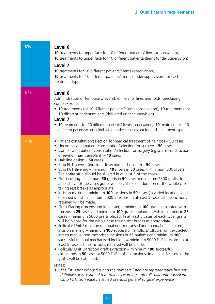| <b>BTs</b> | Level 6<br><b>10</b> treatments to upper face for 10 different patients/clients (observation),<br>10 treatments to upper face for 10 different patients/clients (under supervision)<br>Level 7<br><b>10</b> treatments for 10 different patients/clients (observation)<br>10 treatments for 10 different patients/clients (under supervision) for each<br>treatment type                                                                                                                                                                                                                                                                                                                                                                                                                                                                                                                                                                                                                                                                                                                                                                                                                                                                                                                                                                                                                                                                                                                                                                                                                                                                                                                                                                                                                                                                                                                                                                                                                                                                                                                                                             |
|------------|--------------------------------------------------------------------------------------------------------------------------------------------------------------------------------------------------------------------------------------------------------------------------------------------------------------------------------------------------------------------------------------------------------------------------------------------------------------------------------------------------------------------------------------------------------------------------------------------------------------------------------------------------------------------------------------------------------------------------------------------------------------------------------------------------------------------------------------------------------------------------------------------------------------------------------------------------------------------------------------------------------------------------------------------------------------------------------------------------------------------------------------------------------------------------------------------------------------------------------------------------------------------------------------------------------------------------------------------------------------------------------------------------------------------------------------------------------------------------------------------------------------------------------------------------------------------------------------------------------------------------------------------------------------------------------------------------------------------------------------------------------------------------------------------------------------------------------------------------------------------------------------------------------------------------------------------------------------------------------------------------------------------------------------------------------------------------------------------------------------------------------------|
| <b>DFs</b> | Level 6<br>Administration of temporary/reversible fillers for lines and folds (precluding<br>complex zones<br>• 10 treatments for 10 different patients/clients (observation), 10 treatments for<br>10 different patients/clients (delivered under supervision)<br>Level 7<br>• 10 treatments for 10 different patients/clients (observation), 10 treatments for 10<br>different patients/clients (delivered under supervision) for each treatment type                                                                                                                                                                                                                                                                                                                                                                                                                                                                                                                                                                                                                                                                                                                                                                                                                                                                                                                                                                                                                                                                                                                                                                                                                                                                                                                                                                                                                                                                                                                                                                                                                                                                              |
| <b>HRS</b> | • Patient consultation/selection for medical treatment of hair loss - 50 cases<br>• Uncomplicated patient consultation/selection for surgery - 50 cases<br>• Complicated patient consultation/selection for surgery (eg scar reconstruction<br>or revision hair transplant) $-10$ cases<br>$\bullet$ Hair line design $-$ 50 cases<br>• Strip FUT harvest (incision, dissection and closure) - 50 cases<br>• Strip FUT slivering – minimum 10 slivers in 50 cases = minimum 500 slivers.<br>The entire strip should be slivered in at least 5 of the cases.<br>• Graft cutting – minimum 50 grafts in 50 cases = minimum 2500 grafts. In<br>at least five of the cases grafts will be cut for the duration of the whole case<br>taking rest breaks as appropriate.<br>Incision making – minimum 100 incisions in 50 cases (in varied locations and<br>of varied sizes) – minimum 5000 incisions. In at least 5 cases all the incisions<br>required will be made.<br>• Graft Placing (forceps and implanter) – minimum 100 grafts implanted with<br>forceps in 25 cases and minimum 100 grafts implanted with implanters in 25<br>cases = minimum 5000 grafts placed. In at least 5 cases of each type, grafts<br>will be placed for the whole case taking rest breaks as appropriate.<br>Follicular Unit Extraction (manual non-motorised and manual mechanised)<br>$\bullet$<br>incision making – minimum 100 successful (ie follicle/follicular unit extracted<br>intact) manual non-motorised incisions in 25 patients and minimum 100<br>successful manual mechanised incisions = minimum 5000 FUE incisions. In at<br>least 5 cases all the incisions required will be made.<br>• Follicular Unit Extraction graft extraction - minimum 100 successful<br>extractions in 50 cases = 5000 FUE graft extractions. In at least 5 cases all the<br>grafts will be extracted.<br>Notes:<br>The list is not exhaustive and the numbers listed are representative but not<br>definitive. It is assumed that trainees learning strip follicular unit transplant<br>(strip FUT) technique have had previous general surgical experience. |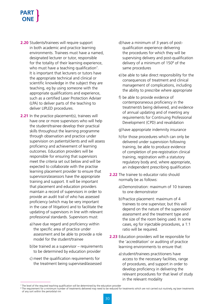- **2.20** Students/trainees will require support in both academic and practice learning environments. Trainees must have a named, designated lecturer or tutor, responsible for the totality of their learning experience, who must have a teaching qualification<sup>7</sup>. It is important that lecturers or tutors have the appropriate technical and clinical or scientific knowledge in the subject they are teaching, eg by using someone with the appropriate qualifications and experience, such as a certified Laser Protection Adviser (LPA) to deliver parts of the teaching to deliver LIPLED procedures.
- **2.21** In the practice placement(s), trainees will have one or more supervisors who will help the student/trainee develop their practical skills throughout the learning programme through observation and practice under supervision on patients/clients and will assess proficiency and achievement of learning outcomes. Education providers will be responsible for ensuring that supervisors meet the criteria set out below and will be expected to collaborate with the practise learning placement provider to ensure that supervisors/assessors have the appropriate training and support. It will be important that placement and education providers maintain a record of supervisors in order to provide an audit trail of who has assessed proficiency (which may be very important in the case of litigation) and to facilitate the updating of supervisors in line with relevant professional standards. Supervisors must:
	- a) have due regard and proficiency within the specific area of practice under assessment and be able to provide a role model for the student/trainee
	- b) be trained as a supervisor requirements to be determined by education provider
	- c) meet the qualification requirements for the treatment being supervised/assessed
- d) have a minimum of 3 years of postqualification experience delivering the procedures for which they will be supervising delivery and post-qualification delivery of a minimum of  $150<sup>8</sup>$  of the same procedures
- e) be able to take direct responsibility for the consequences of treatment and clinical management of complications, including the ability to prescribe where appropriate
- f) be able to provide evidence of contemporaneous proficiency in the treatment/s being delivered, and evidence of annual updating and of meeting any requirements for Continuing Professional Development (CPD) and revalidation
- g)have appropriate indemnity insurance
- h) for those procedures which can only be delivered under supervision following training, be able to produce evidence of completion of pre-registration clinical training, registration with a statutory regulatory body and, where appropriate, an independent prescribing qualification
- **2.22** The trainee to educator ratio should normally be as follows:
	- a) Demonstration: maximum of 10 trainees to one demonstrator
	- b) Practice placement: maximum of 4 trainees to one supervisor, but this will depend on the nature of the supervision/ assessment and the treatment type and the size of the room being used. In some cases, eg for injectable procedures, a 1:1 ratio will be required.
- **2.23** Education providers will be responsible for the 'accreditation' or auditing of practice learning environments to ensure that:
	- a) student/trainees practitioners have access to the necessary facilities, range of procedures, and support in order to develop proficiency in delivering the relevant procedures for that level of study in the relevant modality

<sup>&</sup>lt;sup>7</sup> The level of the required teaching qualification will be determined by the education provider

<sup>&</sup>lt;sup>8</sup> The requirement for a minimum number of treatments delivered may need to be reduced for treatments which are not carried out routinely, eq laser treatments

of any sort within the periorbital rim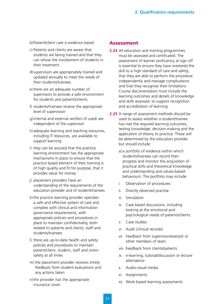- b) Patient/client care is evidence based
- c) Patients and clients are aware that students are being trained and that they can refuse the involvement of students in their treatment
- d) supervisors are appropriately trained and updated annually to meet the needs of their students/trainees
- e) there are an adequate number of supervisors to provide a safe environment for students and patients/clients
- f) students/trainees receive the appropriate level of supervision
- g) internal and external verifiers (if used) are independent of the supervisor
- h) adequate learning and teaching resources, including IT resources, are available to support learning
- i) they can be assured that the practice learning environment has the appropriate mechanisms in place to ensure that the practice based element of their training is of high quality and fit for purpose, that it provides value for money
- j) placement providers have an understanding of the requirements of the education provider and of student/trainees
- k) the practice learning provider operates a safe and effective system of care and complies with clinical and information governance requirements, with appropriate policies and procedures in place to maintain confidentiality, both related to patients and clients, staff and students/trainees
- l) there are up-to-date health and safety policies and procedures to maintain patient/client, student, staff and visitor safety at all times
- m) the placement provider receives timely feedback from student evaluations and any actions taken
- n) the provider has the appropriate insurance cover

#### Assessment

- **2.24** All education and training programmes must be assessed and certificated. The assessment of learner proficiency at sign off is essential to ensure they have mastered the skill to a high standard of care and safety, that they are able to perform the procedure independently and manage complications and that they recognise their limitations. Course documentation must include the learning outcomes and details of knowledge and skills assessed, to support recognition and accreditation of learning.
- **2.25** A range of assessment methods should be used to assess whether a student/trainee has met the required learning outcomes, testing knowledge, decision-making and the application of theory to practice. These will be determined by the education provider but should include:
	- a) a portfolio of evidence within which students/trainees can record their progress and monitor the acquisition of practical skills and theoretical knowledge and understanding and values-basedbehaviours. The portfolio may include:
	- i. Observation of procedures
	- ii. Directly observed practise
	- iii. Simulation
	- iv. Case based discussions, including looking at the emotional and psychological needs of patients/clients
	- v. Case studies
	- vi. Audit (clinical records)
	- vii. Feedback from supervisor/assessor or other members of team
	- viii. Feedback from clients/patients
	- ix. e-learning, tutorial/discussion or lecture attendance
	- x. Audio-visual media
	- xi. Assignments
	- xii. Work-based learning assessments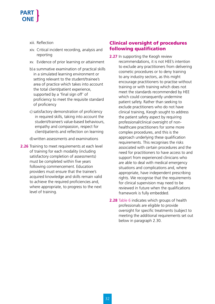- xiii. Reflection
- xiv. Critical incident recording, analysis and reporting
- xv. Evidence of prior learning or attainment
- b) a summative examination of practical skills in a simulated learning environment or setting relevant to the student/trainee's area of practice which takes into account the total client/patient experience, supported by a 'final sign off' of proficiency to meet the requisite standard of proficiency
- c) satisfactory demonstration of proficiency in required skills, taking into account the student/trainee's value-based behaviours, empathy and compassion, respect for client/patients and reflection on learning
- d)written assessments and examinations
- **2.26** Training to meet requirements at each level of training for each modality (including satisfactory completion of assessments) must be completed within five years following commencement. Education providers must ensure that the trainee's acquired knowledge and skills remain valid to achieve the required proficiencies and, where appropriate, to progress to the next level of training.

#### Clinical oversight of procedures following qualification

- **2.27** In supporting the Keogh review recommendations, it is not HEE's intention to exclude any practitioners from delivering cosmetic procedures or to deny training to any industry sectors, as this might encourage practitioners to practise without training or with training which does not meet the standards recommended by HEE which could consequently undermine patient safety. Rather than seeking to exclude practitioners who do not have clinical training, Keogh sought to address the patient safety aspect by requiring professional/clinical oversight of nonhealthcare practitioners for some more complex procedures, and this is the approach underlying these qualification requirements. This recognises the risks associated with certain procedures and the need for practitioners to have access to and support from experienced clinicians who are able to deal with medical emergency situations and complications and, where appropriate, have independent prescribing rights. We recognise that the requirements for clinical supervision may need to be reviewed in future when the qualifications framework is fully embedded.
- **2.28** Table 6 indicates which groups of health professionals are eligible to provide oversight for specific treatments (subject to meeting the additional requirements set out below in paragraph 2.30.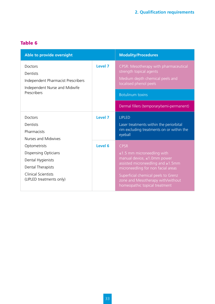### Table 6

| Able to provide oversight                                                                         |         | <b>Modality/Procedures</b>                                                                                                    |
|---------------------------------------------------------------------------------------------------|---------|-------------------------------------------------------------------------------------------------------------------------------|
| <b>Doctors</b><br>Dentists<br>Independent Pharmacist Prescribers<br>Independent Nurse and Midwife | Level 7 | CPSR: Mesotherapy with pharmaceutical<br>strength topical agents<br>Medium depth chemical peels and<br>localised phenol peels |
| Prescribers                                                                                       |         | <b>Botulinum toxins</b>                                                                                                       |
|                                                                                                   |         | Dermal fillers (temporary/semi-permanent)                                                                                     |
| <b>Doctors</b>                                                                                    | Level 7 | <b>LIPLED</b>                                                                                                                 |
| Dentists                                                                                          |         | Laser treatments within the periorbital                                                                                       |
| Pharmacists                                                                                       |         | rim excluding treatments on or within the<br>eyeball                                                                          |
| Nurses and Midwives                                                                               |         |                                                                                                                               |
| Optometrists                                                                                      | Level 6 | <b>CPSR</b>                                                                                                                   |
| <b>Dispensing Opticians</b>                                                                       |         | $\leq$ 1.5 mm microneedling with                                                                                              |
| Dental Hygienists                                                                                 |         | manual device, ≤1.0mm power<br>assisted microneedling and ≥1.5mm                                                              |
| Dental Therapists                                                                                 |         | microneedling for non facial areas                                                                                            |
| <b>Clinical Scientists</b><br>(LIPLED treatments only)                                            |         | Superficial chemical peels to Grenz<br>zone and Mesotherapy with/without<br>homeopathic topical treatment                     |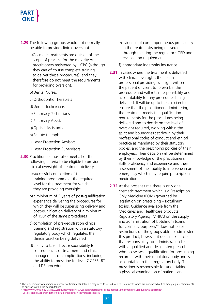- **2.29** The following groups would not normally be able to provide clinical oversight:
	- a)Cosmetic treatments are outside of the scope of practice for the majority of practitioners registered by HCPC (although they can of course complete training to deliver these procedures), and they therefore do not meet the requirements for providing oversight.
	- b)Dental Nurses
	- c) Orthodontic Therapists
	- d)Dental Technicians
	- e) Pharmacy Technicians
	- f) Pharmacy Assistants
	- g)Optical Assistants
	- h)Beauty therapists
	- i) Laser Protection Advisors
	- j) Laser Protection Supervisors
- **2.30** Practitioners must also meet all of the following criteria to be eligible to provide clinical oversight of treatment delivery:
	- a) successful completion of the training programme at the required level for the treatment for which they are providing oversight
	- b) a minimum of 3 years of post-qualification experience delivering the procedures for which they will be supervising delivery and post-qualification delivery of a minimum of 150<sup>9</sup> of the same procedures
	- c) completion of pre-registration clinical training and registration with a statutory regulatory body which regulates the clinical practice being delivered
	- d) ability to take direct responsibility for consequences of treatment and clinical management of complications, including the ability to prescribe for level 7 CPSR, BT and DF procedures
- e) evidence of contemporaneous proficiency in the treatment/s being delivered through meeting the regulator's CPD and revalidation requirements
- f) appropriate indemnity insurance
- **2.31** In cases where the treatment is delivered with clinical oversight, the health professional providing oversight will see the patient or client to 'prescribe' the procedure and will retain responsibility and accountability for any procedures being delivered. It will be up to the clinician to ensure that the practitioner administering the treatment meets the qualification requirements for the procedures being delivered and to decide on the level of oversight required, working within the spirit and boundaries set down by their professional codes of conduct and ethical practice as mandated by their statutory bodies, and the prescribing policies of their employers. Their decision will be determined by their knowledge of the practitioner's skills proficiency and experience and their assessment of their ability to intervene in an emergency which may require prescription medication.
- **2.32** At the present time there is only one cosmetic treatment which is a Prescription Only Medicine (POM) governed by legislation on prescribing – Botulinum toxins. Guidance available from the Medicines and Healthcare products Regulatory Agency (MHRA) on the supply and administration of botulinum toxins for cosmetic purposes<sup>10</sup> does not place restrictions on the groups able to administer this product, however it does make it clear that responsibility for administration lies with a qualified and designated prescriber who possesses a qualification for prescribing recorded with their regulatory body and is accountable to their regulatory body. The prescriber is responsible for undertaking a physical examination of patients and

<sup>&</sup>lt;sup>9</sup> The requirement for a minimum number of treatments delivered may need to be reduced for treatments which are not carried out routinely, eg laser treatments of any sort within the periorbital rim

<sup>10</sup> http://www.mhra.gov.uk/Howweregulate/Medicines/Availabilityprescribingsellingandsupplyingofmedicines/Frequentlyraisedissues/ BotoxVistabelDysportandotherinjectablemedicinesincosmeticprocedures/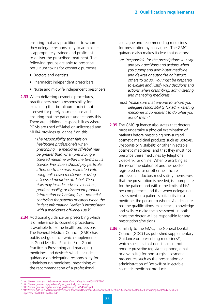ensuring that any practitioner to whom they delegate responsibility to administer is appropriately trained and proficient to deliver the prescribed treatment. The following groups are able to prescribe botulinum toxins for cosmetic purposes:

- Doctors and dentists
- Pharmacist independent prescribers
- Nurse and midwife independent prescribers
- **2.33** When delivering cosmetic procedures, practitioners have a responsibility for explaining that botulinum toxin is not licensed for purely cosmetic use and ensuring that the patient understands this. There are additional responsibilities where POMs are used off-label or unlicensed and MHRA provides quidance $11$  on this:

*"The responsibility that falls on healthcare professionals when prescribing... a medicine off-label may be greater than when prescribing a licensed medicine within the terms of its licence. Prescribers should pay particular attention to the risks associated with using unlicensed medicines or using a licensed medicine off-label. These risks may include: adverse reactions; product quality; or discrepant product information or labelling (eg... potential confusion for patients or carers when the Patient Information Leaflet is inconsistent with a medicine's off-label use.)"*

**2.34** Additional guidance on prescribing which is of relevance to cosmetic procedures is available for some health professions. The General Medical Council (GMC) has published guidance which supplements its Good Medical Practice<sup>12</sup> on Good Practice in Prescribing and managing medicines and device<sup>13</sup> which includes guidance on delegating responsibility for administering medicines, prescribing at the recommendation of a professional

colleague and recommending medicines for prescription by colleagues. The GMC guidance also makes it clear that doctors:

- are *"responsible for the prescriptions you sign and your decisions and actions when you supply and administer medicine and devices or authorise or instruct others to do so. You must be prepared to explain and justify your decisions and actions when prescribing, administering and managing medicines."*
- must *"make sure that anyone to whom you delegate responsibility for administering medicines is competent to do what you ask of them."*
- **2.35** The GMC quidance also states that doctors must undertake a physical examination of patients before prescribing non-surgical cosmetic medicinal products such as Botox®, Dysport® or Vistabel® or other injectable cosmetic medicines, and that they must not prescribe these medicines by telephone, video-link, or online. When prescribing at the recommendation of another doctor, registered nurse or other healthcare professional, doctors must satisfy themselves that the prescription is needed, is appropriate for the patient and within the limits of his/ her competence, and that when delegating assessment of a patient's suitability for a medicine, the person to whom s/he delegates has the qualifications, experience, knowledge and skills to make the assessment. In both cases the doctor will be responsible for any prescription s/he signs.
- **2.36** Similarly to the GMC, the General Dental Council (GDC) has published supplementary Guidance on prescribing medicines<sup>14</sup>, which specifies that dentists must not remote prescribe (eg via telephone, email or a website) for non-surgical cosmetic procedures such as the prescription or administration of Botox® or injectable cosmetic medicinal products.

<sup>11</sup> http://www.mhra.gov.uk/Safetyinformation/DrugSafetyUpdate/CON087990

<sup>12</sup> http://www.gmc-uk.org/guidance/good\_medical\_practice.asp

<sup>13</sup> http://www.gmc-uk.org/Prescribing\_guidance.pdf\_52548623.pdf

<sup>14</sup> http://www.gdc-uk.org/Dentalprofessionals/Standards/Documents/Guidance%20Sheet%20Guidance%20on%20Prescribing%20Medicines%20 September%202013%20v2.pdf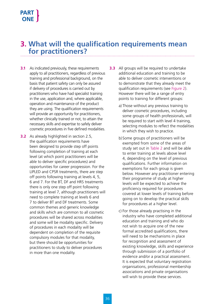# **3. What will the qualification requirements mean for practitioners?**

- **3.1** As indicated previously, these requirements apply to all practitioners, regardless of previous training and professional background, on the basis that patient safety can only be assured if delivery of procedures is carried out by practitioners who have had specialist training in the use, application and, where applicable, operation and maintenance of the product they are using. The qualification requirements will provide an opportunity for practitioners, whether clinically trained or not, to attain the necessary skills and expertise to safely deliver cosmetic procedures in five defined modalities.
- **3.2** As already highlighted in section 2.5, the qualification requirements have been designed to provide step off points following completion of training at each level (at which point practitioners will be able to deliver specific procedures) and opportunities for career progression. For the LIPLED and CPSR treatments, there are step off points following training at levels 4, 5, 6 and 7. For the BT, DF and HRS treatments there is only one step off point following training at level 7, although practitioners will need to complete training at levels 6 and 7 to deliver BT and DF treatments. Some common themes and generic knowledge and skills which are common to all cosmetic procedures will be shared across modalities and some will be modality specific. Delivery of procedures in each modality will be dependent on completion of the requisite compulsory modules for that modality, but there should be opportunities for practitioners to study to deliver procedures in more than one modality.
- **3.3** All groups will be required to undertake additional education and training to be able to deliver cosmetic interventions or to demonstrate that they already meet the qualification requirements (see Figure 2). However there will be a range of entry points to training for different groups:
	- a) Those without any previous training to deliver cosmetic procedures, including some groups of health professionals, will be required to start with level 4 training, selecting modules to reflect the modalities in which they wish to practice.
	- b) Some groups of practitioners will be exempted from some of the areas of study set out in Table 2 and will be able to enter training at levels above level 4, depending on the level of previous qualifications. Further information on exemptions for each group is given below. However any practitioner entering their programme of study at higher levels will be expected to achieve the proficiency required for procedures covered at lower levels of training before going on to develop the practical skills for procedures at a higher level.
	- c) For those already practising in the industry who have completed additional education and training and who do not wish to acquire one of the new formal accredited qualifications, there will need to be mechanisms in place for recognition and assessment of existing knowledge, skills and experience through submission of a portfolio of evidence and/or a practical assessment. It is expected that voluntary registration organisations, professional membership associations and private organisations will wish to provide these services.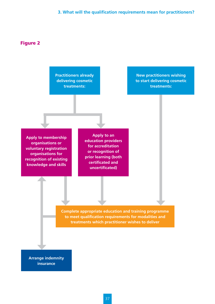#### Figure 2

**Practitioners already delivering cosmetic treatments:**

**New practitioners wishing to start delivering cosmetic treatments:**

**Apply to membership organisations or voluntary registration organisations for recognition of existing knowledge and skills**

**Apply to an education providers for accreditation or recognition of prior learning (both certificated and uncertificated)**

**Complete appropriate education and training programme to meet qualification requirements for modalities and treatments which practitioner wishes to deliver**

**Arrange indemnity insurance**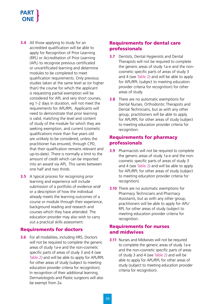- **3.4** All those applying to study for an accredited qualification will be able to apply for Recognition of Prior Learning (RPL) or Accreditation of Prior Learning (APL) to recognise previous certificated or uncertificated learning and determine modules to be completed to meet qualification requirements. Only previous studies taken at the same level as (or higher than) the course for which the applicant is requesting partial exemption will be considered for APL and very short courses, eg 1-2 days in duration, will not meet the requirements for APL/RPL. Applicants will need to demonstrate that prior learning is valid, matching the level and content of study of the module for which they are seeking exemption, and current (cosmetic qualifications more than five years old are unlikely to be considered, unless the practitioner has ensured, through CPD, that their qualification remains relevant and up-to-date). There is normally a limit to the amount of credit which can be imported into an award via APL. This varies between one half and two thirds.
- **3.5** A typical process for recognising prior learning and experience will include submission of a portfolio of evidence and/ or a description of how the individual already meets the learning outcomes of a course or module through their experience, background reading and research and courses which they have attended. The education provider may also wish to carry out a practical skills assessment.

#### Requirements for doctors

**3.6** For all modalities, including HRS, Doctors will not be required to complete the generic areas of study 1a-e and the non-cosmetic specific parts of areas of study 3 and 4 (see Table 2) and will be able to apply for APL/RPL for other areas of study (subject to meeting education provider criteria for recognition). In recognition of their additional learning, Dermatologists and Plastic surgeons will also be exempt from 2a.

#### Requirements for dental care professionals

- **3.7** Dentists, Dental Hygienists and Dental Therapists will not be required to complete the generic areas of study 1a-e and the noncosmetic specific parts of areas of study 3 and 4 (see Table 2) and will be able to apply for APL/RPL (subject to meeting education provider criteria for recognition) for other areas of study.
- **3.8** There are no automatic exemptions for Dental Nurses, Orthodontic Therapists and Dental Technicians, but as with any other group, practitioners will be able to apply for APL/RPL for other areas of study (subject to meeting education provider criteria for recognition.

#### Requirements for pharmacy professionals

- **3.9** Pharmacists will not be required to complete the generic areas of study 1a-e and the noncosmetic specific parts of areas of study 3 and 4 (see Table 2) and will be able to apply for APL/RPL for other areas of study (subject to meeting education provider criteria for recognition).
- **3.10** There are no automatic exemptions for Pharmacy Technicians and Pharmacy Assistants, but as with any other group, practitioners will be able to apply for APL/ RPL for other areas of study (subject to meeting education provider criteria for recognition.

#### Requirements for nurses and midwives

**3.11** Nurses and Midwives will not be required to complete the generic areas of study 1a-e and the non-cosmetic specific parts of areas of study 3 and 4 (see Table 2) and will be able to apply for APL/RPL for other areas of study (subject to meeting education provider criteria for recognition).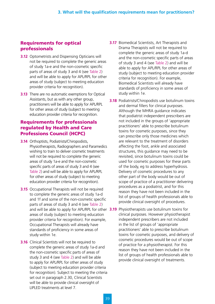#### Requirements for optical professionals

- **3.12** Optometrists and Dispensing Opticians will not be required to complete the generic areas of study 1a-e and the non-cosmetic specific parts of areas of study 3 and 4 (see Table 2) and will be able to apply for APL/RPL for other areas of study (subject to meeting education provider criteria for recognition).
- **3.13** There are no automatic exemptions for Optical Assistants, but as with any other group, practitioners will be able to apply for APL/RPL for other areas of study (subject to meeting education provider criteria for recognition.

#### Requirements for professionals regulated by Health and Care Professions Council (HCPC)

- **3.14** Orthoptists, Podiatrists/Chiropodists, Physiotherapists, Radiographers and Paramedics wishing to train to deliver cosmetic treatments will not be required to complete the generic areas of study 1a-e and the non-cosmetic specific parts of areas of study 3 and 4 (see Table 2) and will be able to apply for APL/RPL for other areas of study (subject to meeting education provider criteria for recognition).
- **3.15** Occupational Therapists will not be required to complete the generic areas of study 1a-d and 1f and some of the non-cosmetic specific parts of areas of study 3 and 4 (see Table 2) and will be able to apply for APL/RPL for other **3.19** Physiotherapists use botulinum toxins for areas of study (subject to meeting education provider criteria for recognition). For example, Occupational Therapists will already have standards of proficiency in some areas of study within 1e.
- **3.16** Clinical Scientists will not be required to complete the generic areas of study 1a-d and the non-cosmetic specific parts of areas of study 3 and 4 (see Table 2) and will be able to apply for APL/RPL for other areas of study (subject to meeting education provider criteria for recognition). Subject to meeting the criteria set out in paragraph 2.30, Clinical Scientists will be able to provide clinical oversight of LIPLED treatments at level 7.
- **3.17** Biomedical Scientists, Art Therapists and Drama Therapists will not be required to complete the generic areas of study 1a-d and the non-cosmetic specific parts of areas of study 3 and 4 (see Table 2) and will be able to apply for APL/RPL for other areas of study (subject to meeting education provider criteria for recognition). For example, Biomedical Scientists will already have standards of proficiency in some areas of study within 1e.
- **3.18** Podiatrists/Chiropodists use botulinum toxins and dermal fillers for clinical purposes. Although the MHRA guidance indicates that podiatrist independent prescribers are not included in the groups of 'appropriate practitioners' able to prescribe botulinum toxins for cosmetic purposes, since they can prescribe only those medicines which are relevant to the treatment of disorders affecting the foot, ankle and associated structures, this guidance may need to be revisited, since botulinum toxins could be used for cosmetic purposes for these parts of the body, eg to address hyperhydrosis. Delivery of cosmetic procedures to any other part of the body would be out of scope of practice of a practitioner delivering procedures as a podiatrist, and for this reason they have not been included in the list of groups of health professionals able to provide clinical oversight of procedures.
- clinical purposes. However physiotherapist independent prescribers are not included in the list of groups of 'appropriate practitioners' able to prescribe botulinum toxins for cosmetic purposes, and delivery of cosmetic procedures would be out of scope of practice for a physiotherapist. For this reason they have not been included in the list of groups of health professionals able to provide clinical oversight of treatments.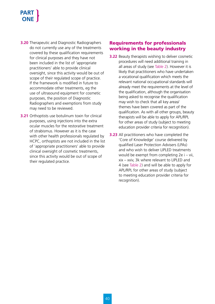# **PAR ONE**

- **3.20** Therapeutic and Diagnostic Radiographers do not currently use any of the treatments covered by these qualification requirements for clinical purposes and they have not been included in the list of 'appropriate practitioners' able to provide clinical oversight, since this activity would be out of scope of their regulated scope of practice. If the framework is modified in future to accommodate other treatments, eg the use of ultrasound equipment for cosmetic purposes, the position of Diagnostic Radiographers and exemptions from study may need to be reviewed.
- **3.21** Orthoptists use botulinum toxin for clinical purposes, using injections into the extra ocular muscles for the restorative treatment of strabismus. However as it is the case with other health professionals regulated by HCPC, orthoptists are not included in the list of 'appropriate practitioners' able to provide clinical oversight of cosmetic treatments, since this activity would be out of scope of their regulated practice.

#### Requirements for professionals working in the beauty industry

- **3.22** Beauty therapists wishing to deliver cosmetic procedures will need additional training in all areas of study (see Table 2). However it is likely that practitioners who have undertaken a vocational qualification which meets the relevant national occupational standards will already meet the requirements at the level of the qualification, although the organisation being asked to recognise the qualification may wish to check that all key areas/ themes have been covered as part of the qualification. As with all other groups, beauty therapists will be able to apply for APL/RPL for other areas of study (subject to meeting education provider criteria for recognition).
- **3.23** All practitioners who have completed the 'Core of Knowledge' course delivered by qualified Laser Protection Advisers (LPAs) and who wish to deliver LIPLED treatments would be exempt from completing 2e i – vii, xix – xxiv, 3k where relevant to LIPLED and 4 (see Table 2) and will be able to apply for APL/RPL for other areas of study (subject to meeting education provider criteria for recognition).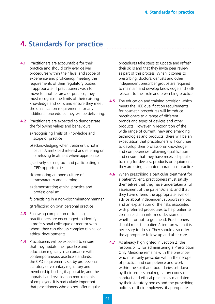# **4. Standards for practice**

- **4.1** Practitioners are accountable for their practice and should only ever deliver procedures within their level and scope of experience and proficiency, meeting the requirements of their regulatory bodies if appropriate. If practitioners wish to move to another area of practice, they must recognise the limits of their existing knowledge and skills and ensure they meet the qualification requirements for any additional procedures they will be delivering.
- **4.2** Practitioners are expected to demonstrate the following values and behaviours:
	- a) recognising limits of knowledge and scope of practice
	- b) acknowledging when treatment is not in patient/client's best interest and referring on or refusing treatment where appropriate
	- c) actively seeking out and participating in CPD opportunities
	- d) promoting an open culture of transparency and learning
	- e) demonstrating ethical practice and professionalism
	- f) practising in a non-discriminatory manner
	- g) reflecting on own personal practice
- **4.3** Following completion of training, practitioners are encouraged to identify a professional colleague or mentor with whom they can discuss complex clinical or ethical developments.
- **4.4** Practitioners will be expected to ensure that they update their practice and education regularly in accordance with contemporaneous practice standards, the CPD requirements set by professional statutory or voluntary regulatory and membership bodies, if applicable, and the appraisal and revalidation requirements of employers. It is particularly important that practitioners who do not offer regular

procedures take steps to update and refresh their skills and that they invite peer review as part of this process. When it comes to prescribing, doctors, dentists and other independent prescriber groups are required to maintain and develop knowledge and skills relevant to their role and prescribing practice.

- **4.5** The education and training provision which meets the HEE qualification requirements for cosmetic procedures will introduce practitioners to a range of different brands and types of devices and other products. However in recognition of the wide range of current, new and emerging technologies and products, there will be an expectation that practitioners will continue to develop their professional knowledge and competencies following qualification and ensure that they have received specific training for devices, products or equipment they are using in contemporaneous practice.
- **4.6** When prescribing a particular treatment for a patient/client, practitioners must satisfy themselves that they have undertaken a full assessment of the patient/client, and that they have offered the appropriate level of advice about independent support services and an explanation of the risks associated with preferred procedures to help patients/ clients reach an informed decision on whether or not to go ahead. Practitioners should refer the patient/client on when it is necessary to do so. They should also offer the appropriate follow-up and after-care.
- **4.7** As already highlighted in Section 2, the responsibility for administering a Prescription Only Medicine remains with the prescriber who must only prescribe within their scope of practice and competence and work within the spirit and boundaries set down by their professional regulatory codes of conduct and ethical practice as mandated by their statutory bodies and the prescribing policies of their employers, if appropriate.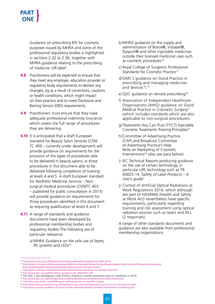Guidance on prescribing BTs for cosmetic purposes issued by MHRA and some of the professional regulatory bodies is highlighted in sections 2.32 to 2.36, together with MHRA guidance relating to the prescribing of medicine 'off-label'.

- **4.8** Practitioners will be expected to ensure that they meet any employer, education provider or regulatory body requirements to declare any changes, eg as a result of convictions, cautions or health conditions, which might impact on their practice and to meet Disclosure and Barring Service (DBS) requirements.
- **4.9** Practitioners must ensure that they have adequate professional indemnity insurance which covers the full range of procedures they are delivering.
- **4.10** It is anticipated that a draft European standard for Beauty Salon Services (CEN/ TC 409 – currently under development) will provide guidance on requirements for the provision of the types of procedures able to be delivered in beauty salons, ie those procedures in this document able to be delivered following completion of training at levels 4 and 5. A draft European standard for Aesthetic Medicine Services – Nonsurgical medical procedures (CEN/TC 403 – published for public consultation in 2015) will provide guidance on requirements for those procedures identified in this document as requiring qualification at levels 6 and 7.
- **4.11** A range of standards and guidance documents have been developed by professional membership bodies and regulatory bodies The following are of particular relevance:
	- a) MHRA *Guidance on the safe use of lasers, IPL systems and LEDs*<sup>15</sup>
- b) MHRA guidance on the supply and administration of Botox®, Vistabel®, Dysport® and other injectable medicines outside their licensed medicinal uses such as cosmetic procedures<sup>16</sup>
- c) Royal College of Surgeons Professional Standards for Cosmetic Practice<sup>17</sup>
- d) GMC's guidance on Good Practice in prescribing and managing medicines and devices<sup>18</sup>,<sup>19</sup>
- e) GDC quidance on remote prescribing<sup>20</sup>
- f) Association of Independent Healthcare Organisations (AIHO) guidance on Good Medical Practice in Cosmetic Surgery<sup>21</sup> (which includes standards which are also applicable to non-surgical procedures)
- g) Treatments You Can Trust (TYCT) Injectable Cosmetic Treatments Training Principles<sup>22</sup>
- h) Committee of Advertising Practice (CAP) and Broadcast Committee of Advertising Practice's Help Note on Marketing of Cosmetic Interventions<sup>23</sup> (also see para below)
- i) IEC Technical Reports producing guidance on the use of certain technology, in particular LIPL technology such as TR 60825-14 *'Safety of Laser Products – A User's guide'*
- j) Control of Artificial Optical Radiations at Work Regulations 2010, which although are part of HASAWA (Health and Safety at Work Act) nevertheless have specific requirements, particularly regarding training and risk assessment using optical radiation sources such as lasers and IPLs (2 responses).

A range of other standards documents and guidance are also available from professional membership organisations.

<sup>15</sup> http://www.mhra.gov.uk/Publications/Safetyguidance/DeviceBulletins/CON014775

<sup>16</sup> http://www.mhra.gov.uk/Howweregulate/Medicines/Availabilityprescribingsellingandsupplyingofmedicines/Frequentlyraisedissues/

BotoxVistabelDysportandotherinjectablemedicinesincosmeticprocedures/ 17 http://www.rcseng.ac.uk/publications/docs/professional-standards-for-cosmetic-practice/

<sup>18</sup> http://www.gmc-uk.org/Prescribing\_guidance.pdf\_56002831.pdf

<sup>19</sup> The GMC is also developing a code of ethics relating to cosmetic procedures (due for completion in 2015)

<sup>20</sup> http://www.gdc-uk.org/Dentalprofessionals/Standards/Documents/Remote%20prescribing.pdf

<sup>21</sup> http://aiho.org.uk/doc\_view/458-good-medical-practice-in-cosmetic-surgery

<sup>22</sup> www.treatmentsyoucantrust.org.uk/treatments-you-can-trust/treatments-you-can-trust-training-principles

<sup>23</sup> http://www.cap.org.uk/Advice-Training-on-the-rules/Help-Notes/Cosmetics-interventions-marketing.aspx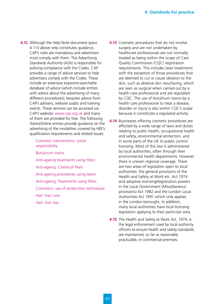- **4.12** Although the Help Note document (para 4.11i) above only constitutes guidance, CAP's rules are mandatory and advertisers must comply with them. The Advertising Standards Authority (ASA) is responsible for policing compliance with the Codes. CAP provides a range of advice services to help advertisers comply with the Codes. These include an extensive keyword-searchable database of advice (which include entries with advice about the advertising of many different procedures); bespoke advice from CAP's advisers; website audits and training events. These services can be accessed via CAP's website: www.cap.org.uk and many of them are provided for free. The following AdviceOnline entries provide guidance on the advertising of the modalities covered by HEE's qualification requirements and related issues:
	- Cosmetic interventions: social responsibility Botulinum toxins Anti-ageing treatments using fillers Anti-ageing: Chemical Peels Anti-ageing procedures using lasers Anti-ageing: Treatments using fillers
	- Cosmetics: use of production techniques
	- Hair: Hair care
	- Hair: Hair loss
- **4.13** Cosmetic procedures that do not involve surgery and are not undertaken by healthcare professionals are not normally treated as being within the scope of Care Quality Commission (CQC) registration requirements. This includes laser treatments with the exception of those procedures that are deemed to cut or cause oblation to the skin, such as ablative skin resurfacing, which are seen as surgical when carried out by a health care professional and are regulated by CQC. The use of botulinum toxins by a health care professional to treat a disease, disorder or injury is also within CQC's scope because it constitutes a regulated activity.
- **4.14** Businesses offering cosmetic procedures are affected by a wide range of laws and duties relating to public health, occupational health and safety, environmental protection, and in some parts of the UK to public control licensing. Most of this law is administered by local authorities, often through their environmental health departments. However there is uneven regional coverage. There are two areas of legislation open to local authorities: the general provisions of the Health and Safety at Work etc. Act 1974 and adoptive licensing/registration powers in the Local Government (Miscellaneous provisions) Act 1982 and the London Local Authorities Act 1991 which only applies in the London boroughs. In addition, many local authorities have local licensing legislation applying to their particular area.
- **4.15** The Health and Safety at Work Act, 1974, is the legal enforcement used by local authority officers to ensure health and safety standards are maintained, so far as reasonably practicable, in commercial premises.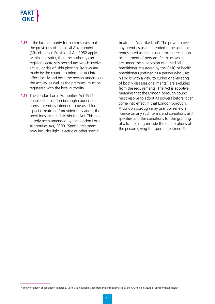- **4.16** If the local authority formally resolves that the provisions of the Local Government (Miscellaneous Provisions) Act 1982 apply within its district, then the authority can register electrolysis procedures which involve actual, or risk of, skin piercing. By-laws are made by the council to bring the Act into effect locally and both the person undertaking the activity, as well as the premises, must be registered with the local authority.
- **4.17** The London Local Authorities Act 1991 enables the London borough councils to license premises intended to be used for 'special treatment' provided they adopt the provisions included within the Act. This has latterly been amended by the London Local Authorities Act, 2000. 'Special treatment' now includes light, electric or other special

treatment 'of a like kind'. The powers cover any premises used, intended to be used, or represented as being used, for the reception or treatment of persons. Premises which are under the supervision of a medical practitioner registered by the GMC or health practitioners (defined as a person who uses his skills with a view to curing or alleviating of bodily diseases or ailments') are excluded from the requirements. The Act is adoptive, meaning that the London borough council must resolve to adopt its powers before it can come into effect in that London borough. A London borough may grant or renew a licence on any such terms and conditions as it specifies and the conditions for the granting of a licence may include the qualifications of the person giving the special treatment<sup>24</sup>.

<sup>&</sup>lt;sup>24</sup> The information on legislation in paras 5.12 to 5.15 has been taken from evidence submitted by the Chartered Institute of Environmental Health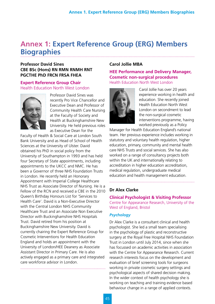# **Annex 1: Expert Reference Group (ERG) Members Biographies**

#### **Professor David Sines CBE BSc (Hons) RN RMN RNMH RNT PGCTHE PhD FRCN FRSA FHEA**

#### **Expert Reference Group Chair** Health Education North West London



Professor David Sines was recently Pro Vice Chancellor and Executive Dean and Professor of Community Health Care Nursing at the Faculty of Society and Health at Buckinghamshire New University. He held previous roles as Executive Dean for the

Faculty of Health & Social Care at London South Bank University and as Head of School of Health Sciences at the University of Ulster. David obtained his PhD in social policy from the University of Southampton in 1993 and has held four Secretary of State appointments, including appointments to the UKCC and NMC. He has been a Governor of three NHS Foundation Trusts in London. He recently held an Honorary Appointment with Imperial College Healthcare NHS Trust as Associate Director of Nursing. He is a Fellow of the RCN and received a CBE in the 2010 Queen's Birthday Honours List for 'Services to Health Care'. David is a Non-Executive Director with the Central London NHS Community Healthcare Trust and an Associate Non Executive Director with Buckinghamshire NHS Hospitals Trust. David retired from his position at Buckinghamshire New University. David is currently chairing the Expert Reference Group for Cosmetic Interventions for Health Education England and holds an appointment with the University of London/HEE Deanery as Associate Assistant Director in Primary Care. He is also actively engaged as a primary care and integrated care workforce advisor in London.

#### **Carol Jollie MBA**

**HEE Performance and Delivery Manager, Cosmetic non-surgical procedures** Health Education North West London



Carol Jollie has over 20 years experience working in health and education. She recently joined Health Education North West London on secondment to lead the non-surgical cosmetic interventions programme, having worked previously as a Policy

Manager for Health Education England's national team. Her previous experience includes working in statutory and voluntary health regulation, higher education, primary, community and mental health care NHS Trusts and social services. She has also worked on a range of consultancy projects both within the UK and internationally relating to accreditation in higher education accreditation, medical regulation, undergraduate medical education and health management education.

#### **Dr Alex Clarke**

**Clinical Psychologist & Visiting Professor** Centre for Appearance Research, University of the West of England, Bristol

#### *Psychology*

Dr Alex Clarke is a consultant clinical and health psychologist. She led a small team specialising in the psychology of plastic and reconstructive surgery at the Royal Free Hospital NHS Foundation Trust in London until July 2014, since when she has focussed on academic activities in association with the Centre for Appearance Research. Current research interests focus on the development and evaluation of brief screening tools for surgeons working in private cosmetic surgery settings and psychological aspects of shared decision making. In the wider context of health psychology she is working on teaching and training evidence based behaviour change in a range of applied contexts.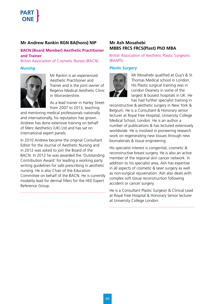#### **Mr Andrew Rankin RGN BA(hons) NIP**

#### **BACN (Board Member) Aesthetic Practitioner and Trainer**

British Association of Cosmetic Nurses (BACN)

#### *Nursing*



Mr Rankin is an experienced Aesthetic Practitioner and Trainer and is the joint owner of Regenix Medical Aesthetic Clinic in Worcestershire.

As a lead trainer in Harley Street from 2007 to 2013, teaching

and mentoring medical professionals nationally and internationally, his reputation has grown. Andrew has done extensive training on behalf of Merz Aesthetics (UK) Ltd and has sat on international expert panels.

In 2010 Andrew became the original Consultant Editor for the Journal of Aesthetic Nursing and in 2012 was asked to join the Board of the BACN. In 2012 he was awarded the 'Outstanding Contribution Award' for leading a working party writing guidelines for safe prescribing in aesthetic nursing. He is also Chair of the Education Committee on behalf of the BACN. He is currently modality lead for dermal fillers for the HEE Expert Reference Group.

#### **Mr Ash Mosahebi MBBS FRCS FRCS(Plast) PhD MBA**

British Association of Aesthetic Plastic Surgeons (BAAPS)

#### *Plastic Surgery*



Mr Mosahebi qualified at Guy's & St Thomas Medical school in London. His Plastic surgical training was in London Deanery in some of the largest & busiest hospitals in UK. He has had further specialist training in

reconstructive & aesthetic surgery in New York & Belgium. He is a Consultant & Honorary senior lecturer at Royal Free Hospital, University College Medical School, London. He is an author a number of publications & has lectured extensively worldwide. He is involved in pioneering research work on regenerating new tissues through new biomaterials & tissue engineering.

His specialist interest is congenital, cosmetic & reconstructive breast surgery. He is also an active member of the regional skin cancer network. In addition to his specialist area, Ash has expertise in all aspects of cosmetic & laser surgery as well as non-surgical rejuvenation. Ash also deals with complex soft tissue reconstruction following accident or cancer surgery.

He is a Consultant Plastic Surgeon & Clinical Lead at Royal Free Hospital & Honorary Senior lecturer at University College London.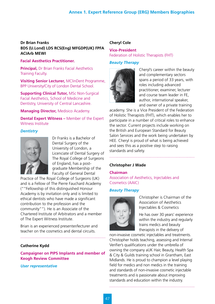#### **Dr Brian Franks BDS (U.Lond) LDS RCS(Eng) MFGDP(UK) FPFA ACIArb MEWI**

#### **Facial Aesthetics Practitioner.**

**Principal,** Dr Brian Franks Facial Aesthetics Training Faculty.

**Visiting Senior Lecturer,** MClinDent Programme, BPP University/City of London Dental School.

**Supporting Clinical Tutor, MSc Non-Surgical** Facial Aesthetics, School of Medicine and Dentistry, University of Central Lancashire.

**Managing Director,** Medisico Academy.

**Dental Expert Witness –** Member of the Expert Witness Institute

#### *Dentistry*



Dr Franks is a Bachelor of Dental Surgery of the University of London, a Licenciate of Dental Surgery of The Royal College of Surgeons of England, has a postgraduate Membership of the Faculty of General Dental

Practice of The Royal College of Surgeons (UK) and is a Fellow of The Pierre Fauchard Academy (""Fellowship of this distinguished Honour Academy is by invitation only and is limited to ethical dentists who have made a significant contribution to the profession and the community""). He is an Associate of the Chartered Institute of Arbitrators and a member of The Expert Witness Institute.

Brian is an experienced presenter/lecturer and teacher on the cosmetics and dental circuits.

#### **Catherine Kydd**

**Campaigner on PIPS Implants and member of Keogh Review Committee**

#### *User representative*

#### **Cheryl Cole**

**Vice-President** Federation of Holistic Therapists (FHT)

#### *Beauty Therapy*



Cheryl's career within the beauty and complementary sectors spans a period of 33 years, with roles including advanced practitioner, examiner, lecturer and course team leader in FE, author, international speaker, and owner of a private training

academy. She is a Vice President of the Federation of Holistic Therapists (FHT), which enables her to participate in a number of critical roles to enhance the sector. Current projects include working on the British and European Standard for Beauty Salon Services and the work being undertaken by HEE. Cheryl is proud of what is being achieved and sees this as a positive step to raising standards and safety.

#### **Christopher J Wade**

#### **Chairman**

Association of Aesthetics, Injectables and Cosmetics (AAIC)

#### *Beauty Therapy*



Christopher is Chairman of the Association of Aesthetics Injectables & Cosmetics

He has over 30 years' experience within the industry and regularly trains medics and beauty therapists in the delivery of

non-invasive cosmetic injectables and treatments. Christopher holds teaching, assessing and Internal Verifier's qualifications under the umbrella of owning the company aUK Hair, Beauty, Health Spa & City & Guilds training school in Grantham, East Midlands. He is proud to champion a level playing field for medics and non medics in the training and standards of non-invasive cosmetic injectable treatments and is passionate about improving standards and education within the industry.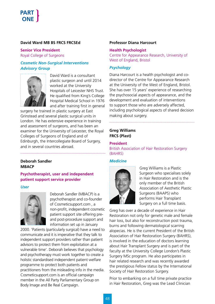#### **David Ward MB BS FRCS FRCSEd**

**Senior Vice President** Royal College of Surgeons

#### *Cosmetic Non-Surgical Interventions Advisory Group*



David Ward is a consultant plastic surgeon and until 2014 worked at the University Hospitals of Leicester NHS Trust. He qualified from King's College Hospital Medical School in 1976 and after training first in general

surgery he trained in plastic surgery at East Grinstead and several plastic surgical units in London. He has extensive experience in training and assessment of surgeons, and has been an examiner for the University of Leicester, the Royal Colleges of Surgeons of England and of Edinburgh, the Intercollegiate Board of Surgery, and in several countries abroad.

#### **Deborah Sandler MBACP**

#### **Psychotherapist, user and independent patient support service provider**

*User*



Deborah Sandler (MBACP) is a psychotherapist and co-founder of Cosmeticsupport.com , a non-profit, independent cosmetic patient support site offering preand post-procedure support and information set up in January

2000. 'Patients (particularly surgical) have a need to communicate and it is imperative that they talk to independent support providers rather than patient advisors to protect them from exploitation at a vulnerable time'. Deborah believes that psychology and psychotherapy must work together to create a holistic standardised independent patient welfare programme to protect both patients and practitioners from the misleading info in the media. Cosmeticsupport.com is an official campaign member in the All Party Parliamentary Group on Body Image and Be Real Campaign.

#### **Professor Diana Harcourt**

#### **Health Psychologist**

Centre for Appearance Research, University of West of England, Bristol

#### *Psychology*

Diana Harcourt is a health psychologist and codirector of the Centre for Appearance Research at the University of the West of England, Bristol. She has over 15 years' experience of researching the psychosocial aspects of appearance, and the development and evaluation of interventions to support those who are adversely affected, including psychological aspects of shared decision making about surgery.

#### **Greg Williams FRCS (Plast)**

#### **President**

British Association of Hair Restoration Surgery (BAHRS)

#### *Medicine*



Greg Williams is a Plastic Surgeon who specialises solely in Hair Restoration and is the only member of the British Association of Aesthetic Plastic Surgeons (BAAPS) who performs Hair Transplant Surgery on a full time basis.

Greg has over a decade of experience in Hair Restoration not only for genetic male and female hair loss, but also for reconstruction post trauma, burns and following dermatological scarring alopecias. He is the current President of the British Association of Hair Restoration Surgery (BAHRS), is involved in the education of doctors learning about Hair Transplant Surgery and is part of the faculty at the University College London's Plastic Surgery MSc program. He also participates in hair related research and was recently awarded the prestigious Fellow status by the International Society of Hair Restoration Surgery.

Prior to embarking on a full time private practice in Hair Restoration, Greg was the Lead Clinician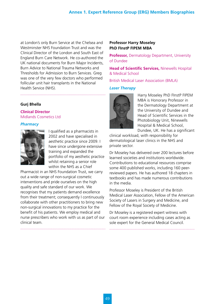at London's only Burn Service at the Chelsea and Westminster NHS Foundation Trust and was the Clinical Director of the London and South East of England Burn Care Network. He co-authored the UK national documents for Burn Major Incidents, Burn Advice to National Trauma Networks and Thresholds for Admission to Burn Services. Greg was one of the very few doctors who performed follicular unit hair transplants in the National Health Service (NHS).

#### **Gurj Bhella**

**Clinical Director** Midlands Cosmetics Ltd

#### *Pharmacy*



I qualified as a pharmacists in 2002 and have specialised in aesthetic practice since 2009. I have since undergone extensive training and expanded the portfolio of my aesthetic practice whilst retaining a senior role within the NHS as a Chief

Pharmacist in an NHS Foundation Trust, we carry out a wide range of non-surgical cosmetic interventions and pride ourselves on the high quality and safe standard of our work. We recognises that my patients demand excellence from their treatment; consequently I continuously collaborate with other practitioners to bring new non-surgical innovations to my practice for the benefit of his patients. We employ medical and nurse prescribers who work with us as part of our clinical team.

#### **Professor Harry Moseley PhD FInstP FIPEM MBA**

**Professor,** Dermatology Department, University of Dundee

**Head of Scientific Services,** Ninewells Hospital & Medical School

British Medical Laser Association (BMLA)

#### *Laser Therapy*



Harry Moseley PhD FInstP FIPEM MBA is Honorary Professor in the Dermatology Department at the University of Dundee and Head of Scientific Services in the Photobiology Unit, Ninewells Hospital & Medical School, Dundee, UK. He has a significant

clinical workload, with responsibility for dermatological laser clinics in the NHS and private sector.

Dr Moseley has delivered over 200 lectures before learned societies and institutions worldwide. Contributions to educational resources comprise some 400 published works, including 160 peerreviewed papers. He has authored 18 chapters in textbooks and has made numerous contributions in the media.

Professor Moseley is President of the British Medical Laser Association, Fellow of the American Society of Lasers in Surgery and Medicine, and Fellow of the Royal Society of Medicine.

Dr Moseley is a registered expert witness with court room experience including cases acting as sole expert for the General Medical Council.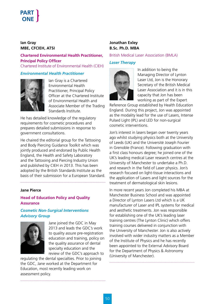#### **Ian Gray MBE, CFCIEH, ATSI**

**Chartered Environmental Health Practitioner, Principal Policy Officer** Chartered Institute of Environmental Health (CIEH)

#### *Environmental Health Practitioner*



Ian Gray is a Chartered Environmental Health Practitioner, Principal Policy Officer at the Chartered Institute of Environmental Health and Associate Member of the Trading Standards Institute.

He has detailed knowledge of the regulatory requirements for cosmetic procedures and prepares detailed submissions in response to government consultations.

He chaired the editorial group for the Tattooing and Body Piercing Guidance Toolkit which was jointly produced and endorsed by Public Health England, the Health and Safety Laboratory and the Tattooing and Piercing Industry Union and published by CIEH in 2013. This has been adopted by the British Standards Institute as the basis of their submission for a European Standard.

#### **Jane Pierce**

#### **Head of Education Policy and Quality Assurance**

#### *Cosmetic Non-Surgical Interventions Advisory Group*



Jane joined the GDC in May 2013 and leads the GDC's work to quality assure pre-registration education and training, policy on the quality assurance of dental specialty education and the review of the GDC's approach to

regulating the dental specialties. Prior to joining the GDC, Jane worked at the Department for Education, most recently leading work on assessment policy.

#### **Jonathan Exley B.Sc. Ph.D. MBA**

#### British Medical Laser Association (BMLA)

#### *Laser Therapy*



In addition to being the Managing Director of Lynton Laser Ltd, Jon is the Honorary Secretary of the British Medical Laser Association and it is in this capacity that Jon has been working as part of the Expert

Reference Group established by Health Education England. During this project, Jon was appointed as the modality lead for the use of Lasers, Intense Pulsed Light (IPL) and LED for non-surgical cosmetic interventions.

Jon's interest in lasers began over twenty years ago whilst studying physics both at the University of Leeds (UK) and the Université Joseph Fourier in Grenoble (France). Following graduation with a first class honours degree; he joined one of the UK's leading medical Laser research centres at the University of Manchester to undertake a Ph.D. and research in the field of Laser physics. Jon's research focused on light-tissue interactions and the application of Lasers and light sources for the treatment of dermatological skin lesions.

In more recent years Jon completed his MBA at Manchester Business School and was appointed a Director of Lynton Lasers Ltd which is a UK manufacturer of Laser and IPL systems for medical and aesthetic treatments. Jon was responsible for establishing one of the UK's leading laser training centres (The Lynton Clinic) which offers training courses delivered in conjunction with the University of Manchester. Jon is also actively involved with wider industry matters as a Member of the Institute of Physics and he has recently been appointed to the External Advisory Board for the Department of Physics & Astronomy (University of Manchester).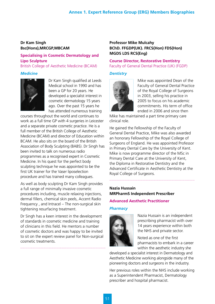#### **Dr Kam Singh Bsc(Hons),MRCGP,MBCAM**

#### **Specialising in Cosmetic Dermatology and Lipo Sculpture**

British College of Aesthetic Medicine (BCAM)

#### *Medicine*



Dr Kam Singh qualified at Leeds Medical school in 1990 and has been a GP for 20 years. He developed a specialist interest in cosmetic dermatology 15 years ago. Over the past 15 years he has attended numerous training

courses throughout the world and continues to work as a full time GP with 4 surgeries in Leicester and a separate private cosmetic practice. He is a full member of the British College of Aesthetic Medicine (BCAM) and director of Education within BCAM. He also sits on the board of the British Association of Body Sculpting (BABS). Dr Singh has been invited to talk on numerous radio programmes as a recognised expert in Cosmetic Medicine. In his quest for the perfect body sculpting technique he was appointed to be the first UK trainer for the Vaser liposelection procedure and has trained many colleagues.

As well as body sculpting Dr Kam Singh provides a full range of minimally invasive cosmetic procedures including, muscle relaxing injections, dermal fillers, chemical skin peels, Accent Radio Frequency , and Intracel – The non-surgical skin tightening resurfacing treatment.

Dr Singh has a keen interest in the development of standards in cosmetic medicine and training of clinicians in this field. He mentors a number of cosmetic doctors and was happy to be invited to sit on the expert review panel for Non-surgical cosmetic treatments.

#### **Professor Mike Mulcahy BChD. FFGDP(UK). FRCS(Hon) FDS(Hon) MGDS LDS RCS(Eng)**

#### **Course Director, Restorative Dentistry** Faculty of General Dental Practice (UK) (FGDP)

#### *Dentistry*



Mike was appointed Dean of the Faculty of General Dental Practice of the Royal College of Surgeons in 2003, selling his practice in 2005 to focus on his academic commitments. His term of office ended in 2006 and since then

Mike has maintained a part time primary care clinical role.

He gained the Fellowship of the Faculty of General Dental Practice, Mike was also awarded an honorary Fellowship of the Royal College of Surgeons of England. He was appointed Professor in Primary Dental Care by the University of Kent. Mike is now programme director of the MSc in Primary Dental Care at the University of Kent, the Diploma in Restorative Dentistry and the Advanced Certificate in Aesthetic Dentistry at the Royal College of Surgeons.

#### **Nazia Hussain MRPharmS Independent Prescriber**

#### **Advanced Aesthetic Practitioner**

#### *Pharmacy*



Nazia Hussain is an independent prescribing pharmacist with over 14 years experience within both the NHS and private sector.

Noted as one of the first pharmacists to embark in a career within the aesthetic industry she

developed a specialist interest in Dermatology and Aesthetic Medicine working alongside many of the pioneering doctors and surgeons in the industry.

Her previous roles within the NHS include working as a Superintendent Pharmacist, Dermatology prescriber and hospital pharmacist.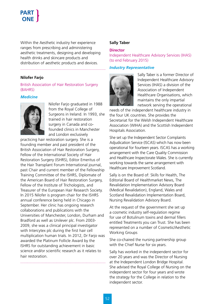Within the Aesthetic industry her experience ranges from prescribing and administering aesthetic treatments, designing and developing health drinks and skincare products and distribution of aesthetic products and devices.

#### **Nilofer Farjo**

#### British Association of Hair Restoration Surgery (BAHRS)

#### *Medicine*



Nilofer Farjo graduated in 1988 from the Royal College of Surgeons in Ireland. In 1993, she trained in hair restoration surgery in Canada and cofounded clinics in Manchester and London exclusively

practicing hair restoration surgery. She is a founding member and past president of the British Association of Hair Restoration Surgery, Fellow of the International Society of Hair Restoration Surgery (ISHRS), Editor Emeritus of the Hair Transplant Forum International journal, past Chair and current member of the Fellowship Training Committee of the ISHRS, Diplomate of the American Board of Hair Restoration Surgery, Fellow of the Institute of Trichologists, and Treasurer of the European Hair Research Society. In 2015 Nilofer is program chair for the ISHRS annual conference being held in Chicago in September. Her clinic has ongoing research collaborations and publications with the Universities of Manchester, London, Durham and Bradford as well as Unilever plc. From 2003- 2009, she was a clinical principal investigator with Intercytex plc during the first hair cell multiplication human trials. In 2012, Dr Farjo was awarded the Platinum Follicle Award by the ISHRS for outstanding achievement in basic science and/or scientific research as it relates to hair restoration.

#### **Sally Taber**

#### **Director**

Independent Healthcare Advisory Services (IHAS) (to end February 2015)

#### *Industry Representative*



Sally Taber is a former Director of Independent Healthcare Advisory Services (IHAS) a division of the Association of Independent Healthcare Organisations, which maintains the only impartial network serving the operational

needs of the independent healthcare industry in the four UK countries. She provides the Secretariat for the Welsh Independent Healthcare Association (WIHA) and the Scottish Independent Hospitals Association.

She set up the Independent Sector Complaints Adjudication Service (ISCAS) which has now been operational for fourteen years. ISCAS has a working arrangement with the Care Quality Commission and Healthcare Inspectorate Wales. She is currently working towards the same arrangement with Healthcare Improvement Scotland.

Sally is on the Board of: Skills for Health, The Editorial Board of Healthmarket News, The Revalidation Implementation Advisory Board (Medical Revalidation), England, Wales and Scotland Revalidation Implementation Board, Nursing Revalidation Advisory Board.

At the request of the government she set up a cosmetic industry self-regulation regime for use of Botulinum toxins and dermal fillers entitled Treatments you can Trust. She has been represented on a number of Cosmetic/Aesthetic Working Groups

She co-chaired the nursing partnership group with the Chief Nurse for six years.

Sally has worked in the independent sector for over 20 years and was the Director of Nursing at the Independent London Bridge Hospital. She advised the Royal College of Nursing on the independent sector for four years and wrote the strategy for the College in relation to the independent sector.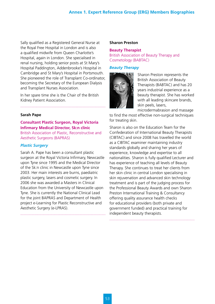Sally qualified as a Registered General Nurse at the Royal Free Hospital in London and is also a qualified midwife from Queen Charlotte's Hospital, again in London. She specialised in renal nursing, holding senior posts at St Mary's Hospital Paddington, Addenbrooke's Hospital in Cambridge and St Mary's Hospital in Portsmouth. She pioneered the role of Transplant Co-ordinator, becoming the Secretary of the European Dialysis and Transplant Nurses Association.

In her spare time she is the Chair of the British Kidney Patient Association.

#### **Sarah Pape**

**Consultant Plastic Surgeon, Royal Victoria Infirmary Medical Director, Sk:n clinic**

British Association of Plastic, Reconstructive and Aesthetic Surgeons (BAPRAS)

#### *Plastic Surgery*

Sarah A. Pape has been a consultant plastic surgeon at the Royal Victoria Infirmary, Newcastle upon Tyne since 1995 and the Medical Director of the Sk:n clinic in Newcastle upon Tyne since 2003. Her main interests are burns, paediatric plastic surgery, lasers and cosmetic surgery. In 2006 she was awarded a Masters in Clinical Education from the University of Newcastle upon Tyne. She is currently the National Clinical Lead for the joint BAPRAS and Department of Health project e-Learning for Plastic Reconstructive and Aesthetic Surgery (e-LPRAS).

#### **Sharon Preston**

**Beauty Therapist** British Association of Beauty Therapy and Cosmetology (BABTAC)

#### *Beauty Therapy*



Sharon Preston represents the British Association of Beauty Therapists (BABTAC) and has 20 years industrial experience as a beauty therapist. She has worked with all leading skincare brands, skin peels, lasers,

microdermabrasion and massage to find the most effective non-surgical techniques for treating skin.

Sharon is also on the Education Team for the Confederation of International Beauty Therapists (CIBTAC) and since 2008 has travelled the world as a CIBTAC examiner maintaining industry standards globally and sharing her years of experience, knowledge and expertise to all nationalities. Sharon is fully qualified Lecturer and has experience of teaching all levels of Beauty Therapy. She continues to treat her clients from her skin clinic in central London specialising in skin rejuvenation and advanced skin technology treatment and is part of the judging process for the Professional Beauty Awards and own Sharon Preston International Training & Consultancy offering quality assurance health checks for educational providers (both private and government funded) and practical training for independent beauty therapists.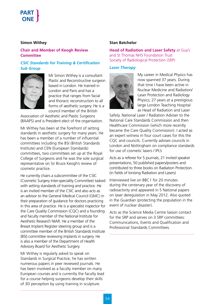#### **Simon Withey**

#### **Chair and Member of Keogh Review Committee**

#### *CSIC Standards for Training & Certification Sub Group*



Mr Simon Withey is a consultant Plastic and Reconstructive surgeon based in London. He trained in London and Paris and has a practice that ranges from facial and thoracic reconstruction to all forms of aesthetic surgery. He is a council member of the British

Association of Aesthetic and Plastic Surgeons (BAAPS) and is President elect of the organisation.

Mr Withey has been at the forefront of setting standards in aesthetic surgery for many years. He has been a member of a number of influential committees including the BSI (British Standards Institute) and CEN (European Standards) committees, two committees set up at the Royal College of Surgeons and he was the sole surgical representative on Sir Bruce Keogh's review of cosmetic practice.

He currently chairs a subcommittee of the CSIC (Cosmetic Surgery Inter-speciality Committee) tasked with setting standards of training and practice. He is an invited member of the CSIC and also acts as an advisor to the General Medical Council (GMC) in their preparation of guidance for doctors practicing in this area of practice. He is a specialist inspector for the Care Quality Commission (CQC) and a founding and faculty member of the National Institute for Aesthetic Research NIAR. He a member of the Breast Implant Register steering group and is a committee member of the British Standards Institute (BSI) committee reviewing implants in surgery. He is also a member of the Department of Health Advisory Board for Aesthetic Surgery.

Mr Withey is regularly asked to speak on Standards in Surgical Practice, he has written numerous papers in peer reviewed journals. He has been involved as a faculty member on many European courses and is currently the faculty lead for a course helping surgeons develop their skills of 3D perception by using training in sculpture.

#### **Stan Batchelor**

**Head of Radiation and Laser Safety** at Guy's and St Thomas NHS Foundation Trust Society of Radiological Protection (SRP)

#### *Laser Therapy*



My career in Medical Physics has now spanned 37 years. During that time I have been active in Nuclear Medicine and Radiation/ Laser Protection and Radiology Physics; 27 years at a prestigious large London Teaching Hospital as Head of Radiation and Laser

Safety. National Laser / Radiation Adviser to the National Care Standards Commission and then Healthcare Commission (which more recently became the Care Quality Commission). I acted as an expert witness in four court cases for this the CQC and councils. Currently advises councils in London and Nottingham on compliance standards for use of cosmetic lasers / IPL's

Acts as a referee for 5 journals, 21 invited speaker presentations, 50 published papers/posters and contributed to three books on Radiation Protection. (in fields of Ionising Radiation and Lasers)

Interviewed live on BBC1 for 20 minutes during the centenary year of the discovery of radioactivity and appeared in 5 National papers on laser deregulation in May 2012. Also quoted in the Guardian (protecting the population in the event of nuclear disaster).

Acts as the Science Media Centre liaison contact for the SRP and serves on 3 SRP committees: Communications, Events and Qualification and Professional Standards Committees.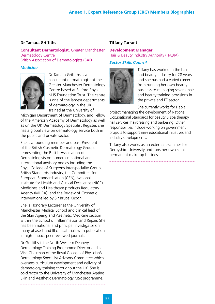#### **Annex 1. Expert Reference Group (ERG) Members Biographies**

#### **Dr Tamara Griffiths**

**Consultant Dermatologist,** Greater Manchester Dermatology Centre British Association of Dermatologists (BAD

#### *Medicine*



Dr Tamara Griffiths is a consultant dermatologist at the Greater Manchester Dermatology Centre based at Salford Royal NHS Foundation Trust. The centre is one of the largest departments of dermatology in the UK. Trained at the University of

Michigan Department of Dermatology, and Fellow of the American Academy of Dermatology as well as on the UK Dermatology Specialist Register, she has a global view on dermatology service both in the public and private sector.

She is a founding member and past President of the British Cosmetic Dermatology Group, representing the British Association of Dermatologists on numerous national and international advisory bodies including the Royal College of Surgeons Interspeciality Group, British Standards Industry, the Committee for European Standardisation (CEN), National Institute for Health and Clinical Excellence (NICE), Medicines and Healthcare products Regulatory Agency (MHRA), and the Review of Cosmetic Interventions led by Sir Bruce Keogh.

She is Honorary Lecturer at the University of Manchester Medical School and clinical lead of the Skin Ageing and Aesthetic Medicine section within the School of Inflammation and Repair. She has been national and principal investigator on many phase II and III clinical trials with publication in high-impact peer-reviewed journals.

Dr Griffiths is the North Western Deanery Dermatology Training Programme Director and is Vice-Chairman of the Royal College of Physician's Dermatology Specialist Advisory Committee which oversees curriculum development and delivery of dermatology training throughout the UK. She is co-director to the University of Manchester Ageing Skin and Aesthetic Dermatology MSc programme.

#### **Tiffany Tarrant**

#### **Development Manager** Hair & Beauty Industry Authority (HABIA)

#### *Sector Skills Council*



Tiffany has worked in the hair and beauty industry for 28 years and she has had a varied career from running her own beauty business to managing several hair and beauty training provisions in the private and FE sector.

She currently works for Habia,

project managing the development of National Occupational Standards for beauty & spa therapy, nail services, hairdressing and barbering. Other responsibilities include working on government projects to support new educational initiatives and industry developments.

Tiffany also works as an external examiner for Derbyshire University and runs her own semipermanent make-up business.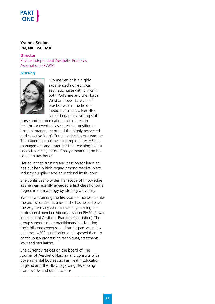#### **Yvonne Senior RN, NIP BSC, MA**

**Director** Private Independent Aesthetic Practices Associations (PIAPA)

#### *Nursing*



Yvonne Senior is a highly experienced non-surgical aesthetic nurse with clinics in both Yorkshire and the North West and over 15 years of practise within the field of medical cosmetics. Her NHS career began as a young staff

nurse and her dedication and interest in healthcare eventually secured her position in hospital management and the highly respected and selective King's Fund Leadership programme. This experience led her to complete her MSc in management and enter her first teaching role at Leeds University before finally embarking on her career in aesthetics.

Her advanced training and passion for learning has put her in high regard among medical piers, industry suppliers and educational institutions.

She continues to widen her scope of knowledge as she was recently awarded a first class honours degree in dermatology by Sterling University.

Yvonne was among the first wave of nurses to enter the profession and as a result she has helped pave the way for many who followed by forming the professional membership organisation PIAPA (Private Independent Aesthetic Practices Association). The group supports other practitioners in advancing their skills and expertise and has helped several to gain their V300 qualification and exposed them to continuously progressing techniques, treatments, laws and regulations.

She currently resides on the board of The Journal of Aesthetic Nursing and consults with governmental bodies such as Health Education England and the NMC regarding developing frameworks and qualifications.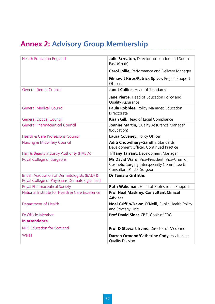# **Annex 2: Advisory Group Membership**

| <b>Health Education England</b>                                                                 | Julie Screaton, Director for London and South<br>East (Chair)                                                             |
|-------------------------------------------------------------------------------------------------|---------------------------------------------------------------------------------------------------------------------------|
|                                                                                                 | <b>Carol Jollie, Performance and Delivery Manager</b>                                                                     |
|                                                                                                 | Filmawit Kiros/Patrick Spicer, Project Support<br>Officers                                                                |
| <b>General Dental Council</b>                                                                   | Janet Collins, Head of Standards                                                                                          |
|                                                                                                 | Jane Pierce, Head of Education Policy and<br><b>Quality Assurance</b>                                                     |
| <b>General Medical Council</b>                                                                  | Paula Robblee, Policy Manager, Education<br>Directorate                                                                   |
| <b>General Optical Council</b>                                                                  | Kiran Gill, Head of Legal Compliance                                                                                      |
| <b>General Pharmaceutical Council</b>                                                           | Joanne Martin, Quality Assurance Manager<br>(Education)                                                                   |
| <b>Health &amp; Care Professions Council</b>                                                    | Laura Coveney, Policy Officer                                                                                             |
| <b>Nursing &amp; Midwifery Council</b>                                                          | Aditi Chowdhary-Gandhi, Standards<br>Development Officer, Continued Practice                                              |
| Hair & Beauty Industry Authority (HABIA)                                                        | Tiffany Tarrant, Development Manager                                                                                      |
| Royal College of Surgeons                                                                       | Mr David Ward, Vice-President, Vice-Chair of<br>Cosmetic Surgery Interspecialty Committee &<br>Consultant Plastic Surgeon |
| British Association of Dermatologists (BAD) &<br>Royal College of Physicians Dermatologist lead | <b>Dr Tamara Griffiths</b>                                                                                                |
| <b>Royal Pharmaceutical Society</b>                                                             | Ruth Wakeman, Head of Professional Support                                                                                |
| National Institute for Health & Care Excellence                                                 | <b>Prof Neal Maskrey, Consultant Clinical</b><br><b>Adviser</b>                                                           |
| Department of Health                                                                            | Noel Griffin/Dawn O'Neill, Public Health Policy<br>and Strategy Unit                                                      |
| Ex Officio Member                                                                               | Prof David Sines CBE, Chair of ERG                                                                                        |
| In attendance                                                                                   |                                                                                                                           |
| <b>NHS Education for Scotland</b>                                                               | Prof D Stewart Irvine, Director of Medicine                                                                               |
| Wales                                                                                           | Darren Ormond/Catherine Cody, Healthcare<br><b>Quality Division</b>                                                       |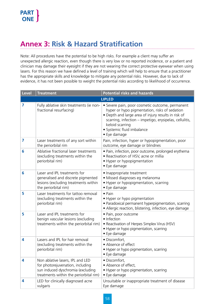# **Annex 3: Risk & Hazard Stratification**

Note: All procedures have the potential to be high risks. For example a client may suffer an unexpected allergic reaction, even though there is very low or no reported incidence, or a patient and clinician may damage their eyesight if they are not wearing the correct protective eyewear when using lasers. For this reason we have defined a level of training which will help to ensure that a practitioner has the appropriate skills and knowledge to mitigate any potential risks. However, due to lack of evidence, it has not been possible to weight the potential risks according to likelihood of occurrence.

| <b>Level</b> | <b>Treatment</b>                                                                                                                                    | <b>Potential risks and hazards</b>                                                                                                                                                                                                                                                  |  |  |
|--------------|-----------------------------------------------------------------------------------------------------------------------------------------------------|-------------------------------------------------------------------------------------------------------------------------------------------------------------------------------------------------------------------------------------------------------------------------------------|--|--|
|              | <b>LIPLED</b>                                                                                                                                       |                                                                                                                                                                                                                                                                                     |  |  |
| 7            | Fully ablative skin treatments (ie non-<br>fractional resurfacing)                                                                                  | · Severe pain, poor cosmetic outcome, permanent<br>hyper or hypo pigmentation, risks of sedation<br>• Depth and large area of injury results in risk of<br>scarring, infection – impetigo, erysipelas, cellulitis,<br>keloid scarring<br>· Systemic fluid imbalance<br>• Eye damage |  |  |
| 7            | Laser treatments of any sort within<br>the periorbilal rim                                                                                          | Pain, infection, hyper or hypopigmentation, poor<br>outcome, eye damage or blindnes                                                                                                                                                                                                 |  |  |
| 6            | Ablative fractional laser treatments<br>(excluding treatments within the<br>periorbital rim)                                                        | • Pain, infection, poor outcome, prolonged erythema<br>• Reactivation of HSV, acne or millia<br>• Hyper or hypopigmentation<br>• Eye damage                                                                                                                                         |  |  |
| 6            | Laser and IPL treatments for<br>generalised and discrete pigmented<br>lesions (excluding treatments within<br>the periorbital rim)                  | • Inappropriate treatment<br>· Missed diagnoses eg melanoma<br>• Hyper or hypopigmentation, scarring<br>• Eye damage                                                                                                                                                                |  |  |
| 5            | Laser treatments for tattoo removal<br>(excluding treatments within the<br>periorbital rim)                                                         | $\bullet$ Pain<br>• Hyper or hypo pigmentation<br>• Paradoxical permanent hyperpigmentation, scarring<br>• Allergic reaction, blistering, infection, eye damage                                                                                                                     |  |  |
| 5            | Laser and IPL treatments for<br>benign vascular lesions (excluding<br>treatments within the periorbital rim)                                        | • Pain, poor outcome<br>• Infection<br>• Reactivation of Herpes Simplex Virus (HSV)<br>• Hyper or hypo pigmentation, scarring<br>• Eye damage                                                                                                                                       |  |  |
| 4            | Lasers and IPL for hair removal<br>(excluding treatments within the<br>periorbital rim)                                                             | · Discomfort,<br>• Absence of effect<br>• Hyper or hypo pigmentation, scarring<br>• Eye damage                                                                                                                                                                                      |  |  |
| 4            | Non ablative lasers, IPL and LED<br>for photorejuvenation, including<br>sun induced dyschromia (excluding<br>treatments within the periorbital rim) | · Discomfort,<br>• Absence of effect,<br>• Hyper or hypo pigmentation, scarring<br>• Eye damage                                                                                                                                                                                     |  |  |
| 4            | LED for clinically diagnosed acne<br>vulgaris                                                                                                       | Unsuitable or inappropriate treatment of disease<br>Eye damage                                                                                                                                                                                                                      |  |  |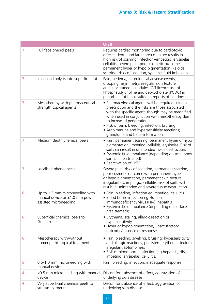|   | <b>CPSR</b>                                                                                       |                                                                                                                                                                                                                                                                                                                                                                           |  |
|---|---------------------------------------------------------------------------------------------------|---------------------------------------------------------------------------------------------------------------------------------------------------------------------------------------------------------------------------------------------------------------------------------------------------------------------------------------------------------------------------|--|
| 7 | Full face phenol peels                                                                            | Requires cardiac monitoring due to cardiotoxic<br>effects; depth and large area of injury results in<br>high risk of scarring, infection--impetigo, erysipelas,<br>cellulitis, severe pain, poor cosmetic outcome,<br>permanent hyper or hypo pigmentation, keloidal<br>scarring, risks of sedation, systemic fluid imbalance.                                            |  |
| 7 | Injection lipolysis into superficial fat                                                          | Pain, oedema, neurological adverse events,<br>drooping, asymmetry, irregular skin texture<br>and subcutaneous nodules. Off licence use of<br>Phosphatidylcholine and deoxycholate (PCDC) in<br>periorbital fat has resulted in reports of blindness.                                                                                                                      |  |
| 7 | Mesotherapy with pharmaceutical<br>strength topical agents                                        | • Pharmacological agents will be required using a<br>prescription and the risks are those associated<br>with the specific agent, though may be magnified<br>when used in conjunction with mesotherapy due<br>to increased penetration<br>. Risk of pain, bleeding, infection, bruising<br>• Autoimmune and hypersensitivity reactions;<br>granuloma and biofilm formation |  |
| 7 | Medium depth chemical peels                                                                       | • Pain, permanent scarring, permanent hyper or hypo<br>pigmentation, impetigo, cellulitis, erysipelas. Risk of<br>spills can result in unintended tissue destruction.<br>• Systemic fluid imbalance (depending on total body<br>surface area treated)<br>• Reactivation of HSV                                                                                            |  |
| 7 | Localised phenol peels                                                                            | Severe pain, risks of sedation, permanent scarring,<br>poor cosmetic outcome with permanent hyper<br>or hypo pigmentation, permanent skin textural<br>irregularities, impetigo, cellulitis, risk of spills will<br>result in unintended and severe tissue destruction.                                                                                                    |  |
| 6 | Up to 1.5 mm microneedling with<br>manual device or $\leq 1.0$ mm power<br>assisted microneedling | · Pain, bleeding, infection eg impetigo, cellulitis<br>• Blood borne infection eg Human<br>immunodeficiency virus (HIV), hepatitis<br>• Systemic fluid imbalance (depending on surface<br>area treated);                                                                                                                                                                  |  |
| 6 | Superficial chemical peels to<br>Grenz zone                                                       | · Erythema, scaling, allergic reaction or<br>hypersensitivity<br>• Hyper or hypopigmentation, unsatisfactory<br>outcome/absence of response                                                                                                                                                                                                                               |  |
| 6 | Mesotherapy with/without<br>homeopathic topical treatment                                         | • Pain, bleeding, swelling, bruising; hypersensitivity<br>and allergic reactions, persistent erythema, textural<br>irregularities/lumpiness<br>. Risk of blood borne infection (eg hepatitis, HIV),<br>impetigo, erysipelas, cellulitis,                                                                                                                                  |  |
| 5 | 0.5-1.0 mm microneedling with<br>manual device                                                    | Pain, bleeding, infection, inadequate response                                                                                                                                                                                                                                                                                                                            |  |
| 4 | $\leq$ 0.5 mm microneedling with manual<br>device                                                 | Discomfort, absence of effect, aggravation of<br>underlying skin disease                                                                                                                                                                                                                                                                                                  |  |
| 4 | Very superficial chemical peels to<br>stratum corneum                                             | Discomfort, absence of effect, aggravation of<br>underlying skin disease                                                                                                                                                                                                                                                                                                  |  |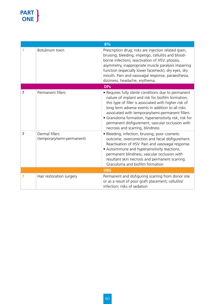| <b>BTs</b> |                                              |                                                                                                                                                                                                                                                                                                                                                                                                                               |  |  |
|------------|----------------------------------------------|-------------------------------------------------------------------------------------------------------------------------------------------------------------------------------------------------------------------------------------------------------------------------------------------------------------------------------------------------------------------------------------------------------------------------------|--|--|
|            | Botulinum toxin                              | Prescription drug; risks are injection related (pain,<br>bruising, bleeding, impetigo, cellulitis and blood-<br>borne infection); reactivation of HSV; ptosisis,<br>asymmetry, inappropriate muscle paralysis impairing<br>function (especially lower face/neck); dry eyes, dry<br>mouth. Pain and vasovagal response, paraesthesia,<br>dizziness, headache, erythema.                                                        |  |  |
|            | <b>DFs</b>                                   |                                                                                                                                                                                                                                                                                                                                                                                                                               |  |  |
| 7          | Permanent fillers                            | • Requires fully sterile conditions due to permanent<br>nature of implant and risk for biofilm formation;<br>this type of filler is associated with higher risk of<br>long term adverse events in addition to all risks<br>associated with temporary/semi-permanent fillers<br>• Granuloma formation, hypersensitivity risk, risk for<br>permanent disfigurement; vascular occlusion with<br>necrosis and scarring, blindness |  |  |
| 7          | Dermal fillers<br>(temporary/semi-permanent) | · Bleeding, infection, bruising; poor cosmetic<br>outcome, overcorrection and facial disfigurement.<br>Reactivation of HSV. Pain and vasovagal response.<br>• Autoimmune and hypersensitivity reactions;<br>permanent blindness, vascular occlusion with<br>resultant skin necrosis and permanent scarring.<br>Granuloma and biofilm formation                                                                                |  |  |
| <b>HRS</b> |                                              |                                                                                                                                                                                                                                                                                                                                                                                                                               |  |  |
| 7          | Hair restoration surgery                     | Permanent and disfiguring scarring from donor site<br>or as a result of poor graft placement; cellulitis/<br>infection; risks of sedation                                                                                                                                                                                                                                                                                     |  |  |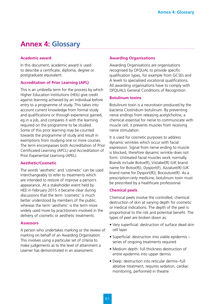# **Annex 4: Glossary**

#### **Academic award**

In this document, academic award is used to describe a certificate, diploma, degree or postgraduate equivalent.

#### **Accreditation of Prior Learning (APL)**

This is an umbrella term for the process by which Higher Education Institutions (HEIs) give credit against learning achieved by an individual before entry to a programme of study. This takes into account current knowledge from formal study and qualifications or through experience gained, eg in a job, and compares it with the learning required on the programme to be studied. Some of this prior learning may be counted towards the programme of study and result in exemptions from studying one or more courses. The term encompasses both Accreditation of Prior Certificated Learning (APCL) and Accreditation of Prior Experiential Learning (APEL).

#### **Aesthetic/Cosmetic**

The words 'aesthetic' and 'cosmetic' can be used interchangeably to refer to treatments which are intended to restore of improve a person's appearance. At a stakeholder event held by HEE in February 2015 it became clear during discussions that the term 'cosmetic' is much better understood by members of the public, whereas the term 'aesthetic' is the term more widely used more by practitioners involved in the delivery of cosmetic or aesthetic treatments.

#### **Assessors**

A person who undertakes marking or the review of marking on behalf of an Awarding Organisation. This involves using a particular set of criteria to make judgements as to the level of attainment a Learner has demonstrated in an assessment.

#### **Awarding Organisations**

Awarding Organisations are organisations recognised by OFQUAL to provide specific qualification types, for example from GCSEs and A levels to specialised vocational qualifications. All awarding organisations have to comply with OFQUAL's General Conditions of Recognition.

#### **Botulinum toxins**

Botulinum toxin is a neurotoxin produced by the bacteria Clostridium botulinum. By preventing nerve endings from releasing acetylcholine, a chemical essential for nerve to communicate with muscle cell, it prevents muscles from receiving nerve stimulation.

It is used for cosmetic purposes to address dynamic wrinkles which occur with facial expression. Signal from nerve ending to muscle is blocked, therefore dynamic wrinkle does not form. Untreated facial muscles work normally. Brands include Botox(R), Vistabel(R) (UK brand name for Botox(R)), Dysport(F), Azzalure(R) (UK brand name for Dysport(R)), Bocouture(R). As a prescription-only medicine, botulinum toxin must be prescribed by a healthcare professional.

#### **Chemical peels**

Chemical peels involve the controlled, chemical destruction of skin at varying depth for cosmetic or medical indications. The depth of the peel is proportional to the risk and potential benefit. The types of peel are broken down as:

- Very superficial: destruction of surface dead skin cell layer
- Superficial: destruction into viable epidermis series of ongoing treatments required
- Medium depth: full thickness destruction of entire epidermis into upper dermis
- Deep: destruction into reticular dermis--full ablative treatment, requires sedation, cardiac monitoring, performed in theatre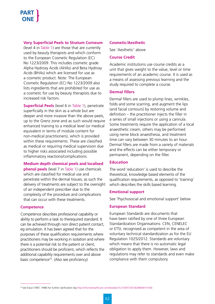#### **Very Superficial Peels to Stratum Corneum**

(level 4 in Table 1) are those that are currently used by beauty therapists and which conform to the European Cosmetic Regulation (EC) No 1223/2009. This includes cosmetic grade Alpha Hydroxy Acids (AHAs) and Beta Hydroxy Acids (BHAs) which are licensed for use as a cosmetic product. Note: The European Cosmetic Regulation (EC) No 1223/2009 also lists ingredients that are prohibited for use as a cosmetic for use by beauty therapists due to increased risk factors.

**Superficial Peels** (level 6 in Table 1), penetrate superficially in the skin as a whole but are deeper and more invasive than the above peels, up to the Grenz zone and as such would require enhanced training to a medical level (or medical equivalent in terms of module content for non-medical practitioners), which is provided within these requirements. These are classified as medical or requiring medical supervision due to higher risks associated including possible inflammatory reactions/complications.

#### **Medium depth chemical peels and localised**

**phenol peels** (level 7 in Table 1) use chemicals which are classified for medical use and penetrate within the dermal tissues; as such the delivery of treatments are subject to the oversight of an independent prescriber due to the complexity of the procedure and complications that can occur with these treatments.

#### **Competence**

Competence describes professional capability or ability to perform a task to therequired standard. It can be achieved through non direct patient contact, eg simulation. It has been agreed that for the purposes of these qualification requirements where practitioners may be working in isolation and where there is a potential risk to the patient or client, practitioners should be proficient, which reflects the additional capability requirements over and above basic competence<sup>25</sup>. (Also see proficiency)

#### **Cosmetic/Aesthetic**

See 'Aesthetic' above

#### **Course Credit**

Academic institutions use course credits as a unit that gives weight to the value, level or time requirements of an academic course. It is used as a means of assessing previous learning and the study required to complete a course.

#### **Dermal fillers**

Dermal fillers are used to plump lines, wrinkles, folds and some scarring, and augment the lips (and facial contours) by restoring volume and definition – the practitioner injects the filler in a series of small injections or using a cannula. Some treatments require the application of a local anaesthetic cream, others may be performed using nerve block anaesthesia, and treatment time can vary between 30 minutes to an hour. Dermal fillers are made from a variety of materials and the effects can be either temporary or permanent, depending on the filler.

#### **Education**

The word 'education' is used to describe the theoretical, knowledge based elements of the qualification requirements, as opposed to 'training' which describes the skills based learning.

#### **Emotional support**

See 'Psychosocial and emotional support' below

#### **European Standard**

European Standards are documents that have been ratified by one of three European Standardization Organisations: CEN, CENELEC or ETSI, recognised as competent in the area of voluntary technical standardization as for the EU Regulation 1025/2012. Standards are voluntary which means that there is no automatic legal obligation to apply them. However, laws and regulations may refer to standards and even make compliance with them compulsory.

<sup>25</sup> See Eraut (1997, 1998) for further clarification (eg http://informahealthcare.com/doi/abs/10.3109/13561829809014100)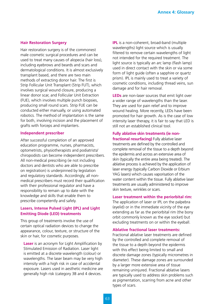#### **Hair Restoration Surgery**

Hair restoration surgery is of the commonest male cosmetic surgical procedures and can be used to treat many causes of alopecia (hair loss), including eyebrows and beards and scars and dermatological conditions. It is almost exclusively transplant based, and there are two main methods of extracting donor hair. The first is Strip Follicular Unit Transplant (Strip FUT), which involves surgical wound closure, producing a linear donor scar, and Follicular Unit Extraction (FUE), which involves multiple punch biopsies, producing small round scars. Strip FUE can be conducted either manually, or using automated robotics. The method of implantation is the same for both, involving incision and the placement of grafts with forceps and implanters.

#### **Independent prescriber**

After successful completion of an approved education programme, nurses, pharmacists, optometrists, physiotherapists and podiatrists/ chiropodists can become independent prescribers. All non-medical prescribing (ie not including doctors and dentists who are able to prescribe on registration) is underpinned by legislation and regulatory standards. Accordingly, all nonmedical prescribers must record their qualification with their professional regulator and have a responsibility to remain up to date with the knowledge and skills that enable them to prescribe competently and safely.

#### **Lasers, Intense Pulsed Light (IPL) and Light Emitting Diode (LED) treatments**

This group of treatments involve the use of certain optical radiation devices to change the appearance, colour, texture, or structure of the skin or hair, for cosmetic purposes.

**Laser** is an acronym for Light Amplification by Stimulated Emission of Radiation. Laser light is emitted at a discrete wavelength (colour) or wavelengths. The laser beam may be very high intensity with a high risk in case of accidental exposure. Lasers used in aesthetic medicine are generally high risk (category 3B and 4 devices.

**IPL** is a non-coherent, broad-band (multiple wavelengths) light source which is usually filtered to remove certain wavelengths of light not intended for the required treatment. The light source is typically an arc lamp (flash lamp) used in direct contact with the skin or via some form of light guide (often a sapphire or quartz prism). IPL is mainly used to treat a variety of cosmetic conditions, including thread veins, sun damage and for hair removal.

**LEDs** are non-laser sources that emit light over a wider range of wavelengths than the laser. They are used for pain relief and to improve wound healing. More recently, LEDs have been promoted for hair growth. As is the case of low intensity laser therapy, it is fair to say that LED is still not an established clinical tool.

#### **Fully ablative skin treatments (ie non-**

**fractional resurfacing)** Fully ablative laser treatments are defined by the controlled and complete removal of the tissue to a depth beyond the epidermis and across an extensive area of skin (typically the entire area being treated). The ablative process is achieved by the application of laser energy (typically Carbon Dioxide or Erbium YAG lasers) which causes vaporisation of the water content within the tissue. Fully ablative laser treatments are usually administered to improve skin texture, wrinkles or scars.

#### **Laser treatment within the periorbital rim:**

The application of laser or IPL on the palpebra (eyelid) or in the immediate vicinity of the eye extending as far as the periorbital rim (the bony orbit commonly known as the eye socket) but excluding treatments on or within the eyeball.

#### **Ablative fractional laser treatments:**

Fractional ablative laser treatments are defined by the controlled and complete removal of the tissue to a depth beyond the epidermis with this effect being limited to small and discrete damage zones (typically micrometres in diameter). These damage zones are surrounded by a larger more extensive area of tissue remaining uninjured. Fractional ablative lasers are typically used to address skin problems such as pigmentation, scarring from acne and other types of scars.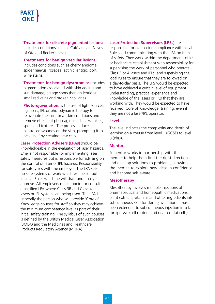**Treatments for discrete pigmented lesions:**  Includes conditions such as Café au Lait, Nevus of Ota and Becker's nevus.

**Treatments for benign vascular lesions:** Includes conditions such as cherry angioma, spider naevus, rosacea, actinic lentigo, port wine stains.

**Treatments for benign dyschromias:** Incudes pigmentation associated with skin ageing and sun damage, eg age spots (benign lentigo), small red veins and broken capillaries.

**Photorejuvenation:** is the use of light sources, eg lasers, IPL or photodynamic therapy to rejuvenate the skin, treat skin conditions and remove effects of photoaging such as wrinkles, spots and textures. The process induces controlled wounds on the skin, prompting it to heal itself by creating new cells.

**Laser Protection Advisers (LPAs)** should be knowledgeable in the evaluation of laser hazards. S/he is not responsible for implementing laser safety measures but is responsible for advising on the control of laser or IPL hazards. Responsibility for safety lies with the employer. The LPA sets up safe systems of work which will be set out in Local Rules which he will draft and finally approve. All employers must appoint or consult a certified LPA where Class 3B and Class 4 lasers or IPL systems are being used. The LPA is generally the person who will provide 'Core of Knowledge courses for staff so they may achieve the minimum competency level as part of their initial safety training. The syllabus of such courses is defined by the British Medical Laser Association (BMLA) and the Medicines and Healthcare Products Regulatory Agency (MHRA).

#### **Laser Protection Supervisors (LPSs)** are

responsible for overseeing compliance with Local Rules and communicating with the LPA on items of safety. They work within the department, clinic or healthcare establishment with responsibility for supervising the work of personnel who operate Class 3 or 4 lasers and IPLs, and supervising the local rules to ensure that they are followed on a day-to-day basis. The LPS would be expected to have achieved a certain level of equipment understanding, practical experience and knowledge of the lasers or IPLs that they are working with. They would be expected to have received 'Core of Knowledge' training, even if they are not a laser/IPL operator.

#### **Level**

The level indicates the complexity and depth of learning on a course from level 1 (GCSE) to level 8 (PhD).

#### **Mentor**

A mentor works in partnership with their mentee to help them find the right direction and develop solutions to problems, allowing the mentee to explore new ideas in confidence and become self aware.

#### **Mesotherapy**

Mesotherapy involves multiple injections of pharmaceutical and homeopathic medications, plant extracts, vitamins and other ingredients into subcutaneous skin for skin rejuvenation. It has been extended to subcutaneous injection into fat for lipolysis (cell rupture and death of fat cells)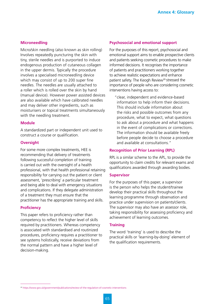#### **Microneedling**

Micro/skin needling (also known as skin rolling) Involves repeatedly puncturing the skin with tiny, sterile needles and is purported to induce endogenous production of cutaneous collagen in the upper dermis. Typically the procedure involves a specialised microneedling device which may consist of up to 200 super fine needles. The needles are usually attached to a roller which is rolled over the skin by hand (manual device). However power assisted devices are also available which have calibrated needles and may deliver other ingredients, such as moisturisers or topical treatments simultaneously with the needling treatment.

#### **Module**

A standardized part or independent unit used to construct a course or qualification.

#### **Oversight**

For some more complex treatments, HEE is recommending that delivery of treatments following successful completion of training is carried out with the oversight of a health professional, with that health professional retaining responsibility for carrying out the patient or client assessment, 'prescribing' a particular treatment and being able to deal with emergency situations and complications. If they delegate administration of a treatment they must ensure that the practitioner has the appropriate training and skills.

#### **Proficiency**

This paper refers to proficiency rather than competency to reflect the higher level of skills required by practitioners. Whereas competency is associated with standardised and routinized procedures, proficiency requires a practitioner to see systems holistically, receive deviations from the normal pattern and have a higher level of decision-making.

#### **Psychosocial and emotional support**

For the purposes of this report, psychosocial and emotional support aims to enable prospective clients and patients seeking cosmetic procedures to make informed decisions. It recognises the importance of patients and practitioners working together to achieve realistic expectations and enhance patient safety. The Keogh Review<sup>26</sup> stressed the importance of people who are considering cosmetic interventions having access to:

"clear, independent and evidence-based information to help inform their decisions. This should include information about the risks and possible outcomes from any procedure, what to expect, what questions to ask about a procedure and what happens in the event of complications or corrections. The information should be available freely before people decide to choose a procedure and available at consultations."

#### **Recognition of Prior Learning (RPL)**

RPL is a similar scheme to the APL, to provide the opportunity to claim credits for relevant exams and qualifications awarded through awarding bodies.

#### **Supervisor**

For the purposes of this paper, a supervisor is the person who helps the student/trainee develop their practical skills throughout the learning programme through observation and practice under supervision on patients/clients. The supervisor may also have an assessor role, taking responsibility for assessing proficiency and achievement of learning outcomes.

#### **Training**

The word 'training' is used to describe the practical skills or 'learning-by-doing' element of the qualification requirements.

<sup>26</sup> https://www.gov.uk/government/publications/review-of-the-regulation-of-cosmetic-interventions